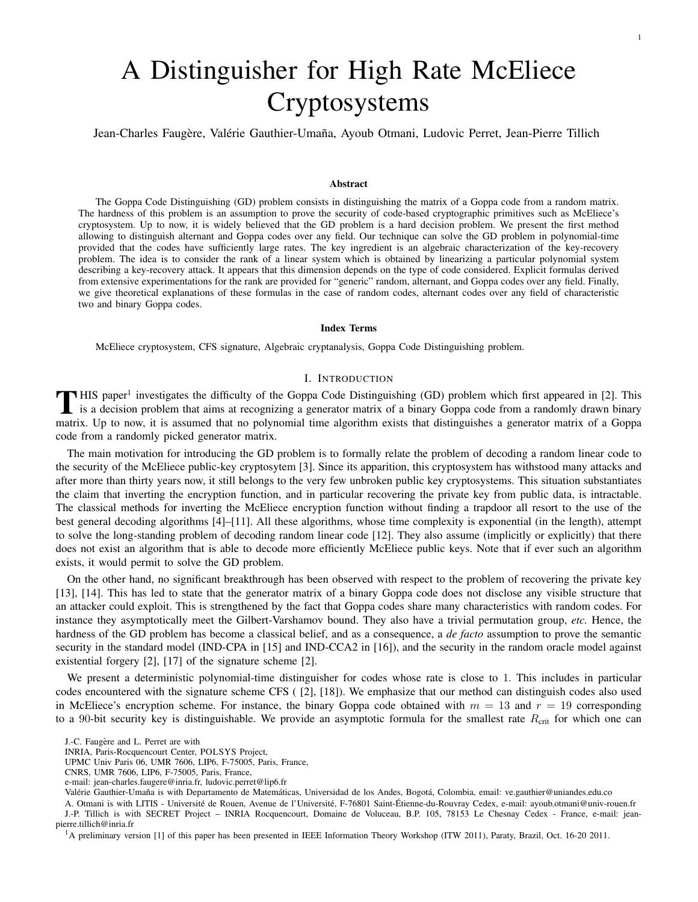# A Distinguisher for High Rate McEliece Cryptosystems

Jean-Charles Faugère, Valérie Gauthier-Umaña, Ayoub Otmani, Ludovic Perret, Jean-Pierre Tillich

#### Abstract

The Goppa Code Distinguishing (GD) problem consists in distinguishing the matrix of a Goppa code from a random matrix. The hardness of this problem is an assumption to prove the security of code-based cryptographic primitives such as McEliece's cryptosystem. Up to now, it is widely believed that the GD problem is a hard decision problem. We present the first method allowing to distinguish alternant and Goppa codes over any field. Our technique can solve the GD problem in polynomial-time provided that the codes have sufficiently large rates. The key ingredient is an algebraic characterization of the key-recovery problem. The idea is to consider the rank of a linear system which is obtained by linearizing a particular polynomial system describing a key-recovery attack. It appears that this dimension depends on the type of code considered. Explicit formulas derived from extensive experimentations for the rank are provided for "generic" random, alternant, and Goppa codes over any field. Finally, we give theoretical explanations of these formulas in the case of random codes, alternant codes over any field of characteristic two and binary Goppa codes.

#### Index Terms

McEliece cryptosystem, CFS signature, Algebraic cryptanalysis, Goppa Code Distinguishing problem.

#### I. INTRODUCTION

THIS paper<sup>1</sup> investigates the difficulty of the Goppa Code Distinguishing (GD) problem which first appeared in [2]. This is a decision problem that aims at recognizing a generator matrix of a binary Goppa code from a rand HIS paper<sup>1</sup> investigates the difficulty of the Goppa Code Distinguishing (GD) problem which first appeared in [2]. This matrix. Up to now, it is assumed that no polynomial time algorithm exists that distinguishes a generator matrix of a Goppa code from a randomly picked generator matrix.

The main motivation for introducing the GD problem is to formally relate the problem of decoding a random linear code to the security of the McEliece public-key cryptosytem [3]. Since its apparition, this cryptosystem has withstood many attacks and after more than thirty years now, it still belongs to the very few unbroken public key cryptosystems. This situation substantiates the claim that inverting the encryption function, and in particular recovering the private key from public data, is intractable. The classical methods for inverting the McEliece encryption function without finding a trapdoor all resort to the use of the best general decoding algorithms [4]–[11]. All these algorithms, whose time complexity is exponential (in the length), attempt to solve the long-standing problem of decoding random linear code [12]. They also assume (implicitly or explicitly) that there does not exist an algorithm that is able to decode more efficiently McEliece public keys. Note that if ever such an algorithm exists, it would permit to solve the GD problem.

On the other hand, no significant breakthrough has been observed with respect to the problem of recovering the private key [13], [14]. This has led to state that the generator matrix of a binary Goppa code does not disclose any visible structure that an attacker could exploit. This is strengthened by the fact that Goppa codes share many characteristics with random codes. For instance they asymptotically meet the Gilbert-Varshamov bound. They also have a trivial permutation group, *etc.* Hence, the hardness of the GD problem has become a classical belief, and as a consequence, a *de facto* assumption to prove the semantic security in the standard model (IND-CPA in [15] and IND-CCA2 in [16]), and the security in the random oracle model against existential forgery [2], [17] of the signature scheme [2].

We present a deterministic polynomial-time distinguisher for codes whose rate is close to 1. This includes in particular codes encountered with the signature scheme CFS ( [2], [18]). We emphasize that our method can distinguish codes also used in McEliece's encryption scheme. For instance, the binary Goppa code obtained with  $m = 13$  and  $r = 19$  corresponding to a 90-bit security key is distinguishable. We provide an asymptotic formula for the smallest rate  $R_{\text{crit}}$  for which one can

A. Otmani is with LITIS - Université de Rouen, Avenue de l'Université, F-76801 Saint-Étienne-du-Rouvray Cedex, e-mail: ayoub.otmani@univ-rouen.fr J.-P. Tillich is with SECRET Project – INRIA Rocquencourt, Domaine de Voluceau, B.P. 105, 78153 Le Chesnay Cedex - France, e-mail: jeanpierre.tillich@inria.fr

<sup>1</sup>A preliminary version [1] of this paper has been presented in IEEE Information Theory Workshop (ITW 2011), Paraty, Brazil, Oct. 16-20 2011.

J.-C. Faugère and L. Perret are with

INRIA, Paris-Rocquencourt Center, POLSYS Project,

UPMC Univ Paris 06, UMR 7606, LIP6, F-75005, Paris, France,

CNRS, UMR 7606, LIP6, F-75005, Paris, France,

e-mail: jean-charles.faugere@inria.fr, ludovic.perret@lip6.fr

Valérie Gauthier-Umaña is with Departamento de Matemáticas, Universidad de los Andes, Bogotá, Colombia, email: ve.gauthier@uniandes.edu.co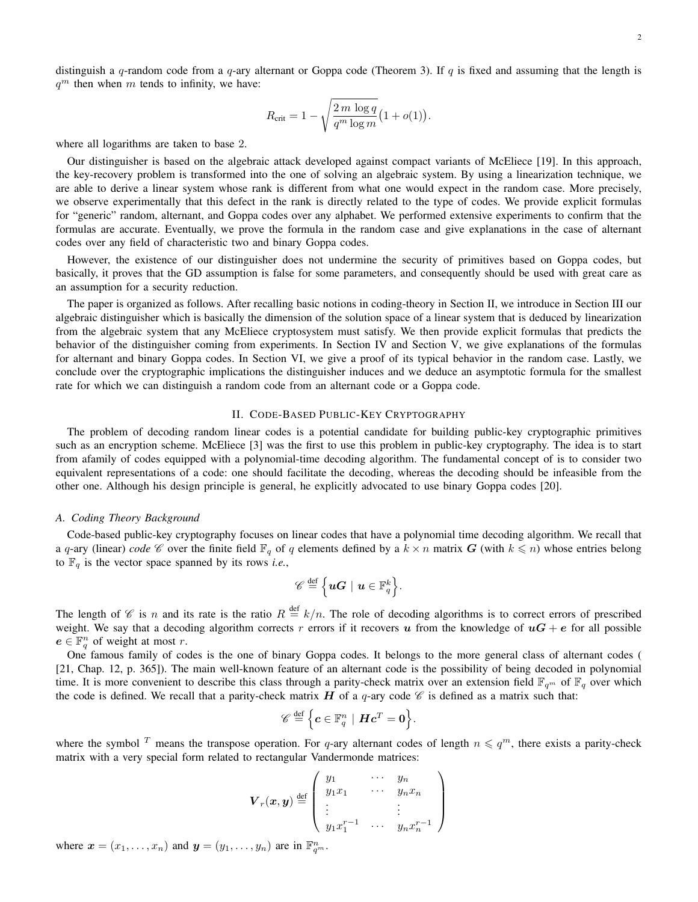distinguish a q-random code from a  $q$ -ary alternant or Goppa code (Theorem 3). If  $q$  is fixed and assuming that the length is  $q^m$  then when m tends to infinity, we have:

$$
R_{\rm crit} = 1 - \sqrt{\frac{2 m \log q}{q^m \log m}} \left( 1 + o(1) \right).
$$

where all logarithms are taken to base 2.

Our distinguisher is based on the algebraic attack developed against compact variants of McEliece [19]. In this approach, the key-recovery problem is transformed into the one of solving an algebraic system. By using a linearization technique, we are able to derive a linear system whose rank is different from what one would expect in the random case. More precisely, we observe experimentally that this defect in the rank is directly related to the type of codes. We provide explicit formulas for "generic" random, alternant, and Goppa codes over any alphabet. We performed extensive experiments to confirm that the formulas are accurate. Eventually, we prove the formula in the random case and give explanations in the case of alternant codes over any field of characteristic two and binary Goppa codes.

However, the existence of our distinguisher does not undermine the security of primitives based on Goppa codes, but basically, it proves that the GD assumption is false for some parameters, and consequently should be used with great care as an assumption for a security reduction.

The paper is organized as follows. After recalling basic notions in coding-theory in Section II, we introduce in Section III our algebraic distinguisher which is basically the dimension of the solution space of a linear system that is deduced by linearization from the algebraic system that any McEliece cryptosystem must satisfy. We then provide explicit formulas that predicts the behavior of the distinguisher coming from experiments. In Section IV and Section V, we give explanations of the formulas for alternant and binary Goppa codes. In Section VI, we give a proof of its typical behavior in the random case. Lastly, we conclude over the cryptographic implications the distinguisher induces and we deduce an asymptotic formula for the smallest rate for which we can distinguish a random code from an alternant code or a Goppa code.

#### II. CODE-BASED PUBLIC-KEY CRYPTOGRAPHY

The problem of decoding random linear codes is a potential candidate for building public-key cryptographic primitives such as an encryption scheme. McEliece [3] was the first to use this problem in public-key cryptography. The idea is to start from afamily of codes equipped with a polynomial-time decoding algorithm. The fundamental concept of is to consider two equivalent representations of a code: one should facilitate the decoding, whereas the decoding should be infeasible from the other one. Although his design principle is general, he explicitly advocated to use binary Goppa codes [20].

#### *A. Coding Theory Background*

Code-based public-key cryptography focuses on linear codes that have a polynomial time decoding algorithm. We recall that a q-ary (linear) *code*  $\mathscr C$  over the finite field  $\mathbb F_q$  of q elements defined by a  $k \times n$  matrix G (with  $k \leq n$ ) whose entries belong to  $\mathbb{F}_q$  is the vector space spanned by its rows *i.e.*,

$$
\mathscr{C} \stackrel{\text{def}}{=} \Big\{ \bm{u}\bm{G} \,\, | \,\, \bm{u} \in \mathbb{F}_q^k \Big\}.
$$

The length of  $\mathscr C$  is n and its rate is the ratio  $R \stackrel{\text{def}}{=} k/n$ . The role of decoding algorithms is to correct errors of prescribed weight. We say that a decoding algorithm corrects r errors if it recovers u from the knowledge of  $uG + e$  for all possible  $e \in \mathbb{F}_q^n$  of weight at most r.

One famous family of codes is the one of binary Goppa codes. It belongs to the more general class of alternant codes ( [21, Chap. 12, p. 365]). The main well-known feature of an alternant code is the possibility of being decoded in polynomial time. It is more convenient to describe this class through a parity-check matrix over an extension field  $\mathbb{F}_{q^m}$  of  $\mathbb{F}_q$  over which the code is defined. We recall that a parity-check matrix  $H$  of a q-ary code  $\mathscr C$  is defined as a matrix such that:

$$
\mathscr{C} \stackrel{\text{def}}{=} \Big\{\boldsymbol{c} \in \mathbb{F}_q^n \,\,|\,\, \boldsymbol{H}\boldsymbol{c}^T = \boldsymbol{0}\Big\}.
$$

where the symbol  $^T$  means the transpose operation. For q-ary alternant codes of length  $n \leq q^m$ , there exists a parity-check matrix with a very special form related to rectangular Vandermonde matrices:

$$
\boldsymbol{V}_r(\boldsymbol{x}, \boldsymbol{y}) \stackrel{\text{def}}{=} \left( \begin{array}{ccc} y_1 & \cdots & y_n \\ y_1 x_1 & \cdots & y_n x_n \\ \vdots & \vdots & \vdots \\ y_1 x_1^{r-1} & \cdots & y_n x_n^{r-1} \end{array} \right)
$$

where  $\mathbf{x} = (x_1, \dots, x_n)$  and  $\mathbf{y} = (y_1, \dots, y_n)$  are in  $\mathbb{F}_{q^m}^n$ .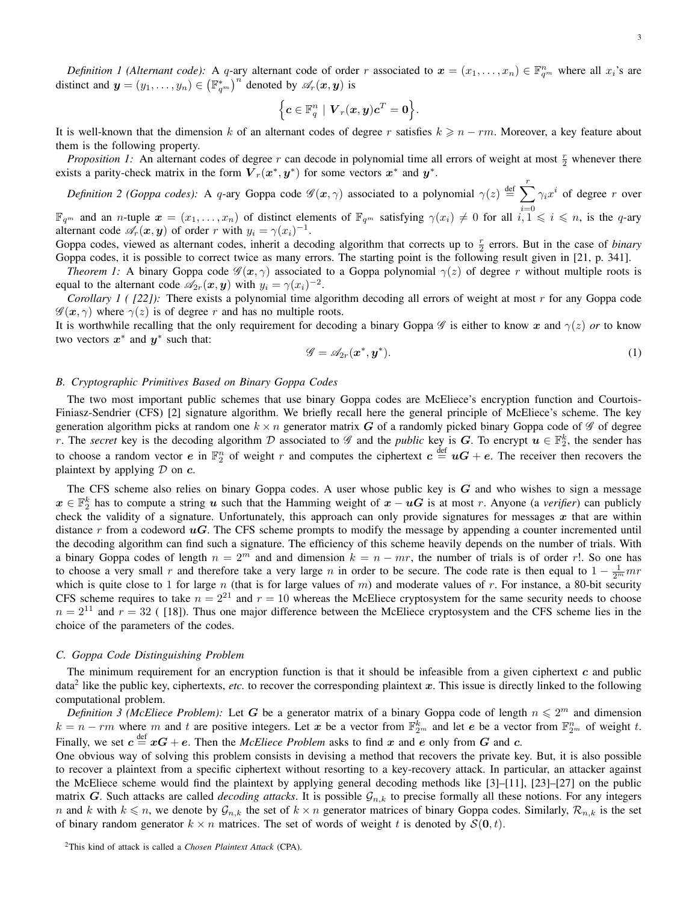*Definition 1 (Alternant code):* A q-ary alternant code of order r associated to  $x = (x_1, \ldots, x_n) \in \mathbb{F}_{q^m}^n$  where all  $x_i$ 's are distinct and  $y = (y_1, \ldots, y_n) \in (\mathbb{F}_{q^m}^*)^n$  denoted by  $\mathscr{A}_r(x, y)$  is

$$
\Big\{\boldsymbol{c}\in\mathbb{F}_q^n~|~\boldsymbol{V}_r(\boldsymbol{x},\boldsymbol{y})\boldsymbol{c}^T=\boldsymbol{0}\Big\}.
$$

It is well-known that the dimension k of an alternant codes of degree r satisfies  $k \geq n - rm$ . Moreover, a key feature about them is the following property.

*Proposition 1:* An alternant codes of degree r can decode in polynomial time all errors of weight at most  $\frac{r}{2}$  whenever there exists a parity-check matrix in the form  $\overline{V}_r(x^*, y^*)$  for some vectors  $x^*$  and  $y^*$ .

*Definition 2 (Goppa codes):* A q-ary Goppa code  $\mathscr{G}(x, \gamma)$  associated to a polynomial  $\gamma(z) \triangleq \sum_{r=1}^{r}$  $i=0$  $\gamma_i x^i$  of degree r over  $\mathbb{F}_{q^m}$  and an *n*-tuple  $x = (x_1, \ldots, x_n)$  of distinct elements of  $\mathbb{F}_{q^m}$  satisfying  $\gamma(x_i) \neq 0$  for all  $i, 1 \leq i \leq n$ , is the q-ary alternant code  $\mathcal{A}(x, y)$  of order r with  $y_i = \gamma(x_i)^{-1}$ alternant code  $\mathscr{A}_r(\boldsymbol{x}, \boldsymbol{y})$  of order r with  $y_i = \gamma(x_i)^{-1}$ .

Goppa codes, viewed as alternant codes, inherit a decoding algorithm that corrects up to  $\frac{r}{2}$  errors. But in the case of *binary* Goppa codes, it is possible to correct twice as many errors. The starting point is the following result given in [21, p. 341].

*Theorem 1:* A binary Goppa code  $\mathscr{G}(x, \gamma)$  associated to a Goppa polynomial  $\gamma(z)$  of degree r without multiple roots is equal to the alternant code  $\mathscr{A}_{2r}(\boldsymbol{x}, \boldsymbol{y})$  with  $y_i = \gamma(x_i)^{-2}$ .

*Corollary 1 ( [22]):* There exists a polynomial time algorithm decoding all errors of weight at most  $r$  for any Goppa code  $\mathscr{G}(\mathbf{x}, \gamma)$  where  $\gamma(z)$  is of degree r and has no multiple roots.

It is worthwhile recalling that the only requirement for decoding a binary Goppa  $\mathscr G$  is either to know x and  $\gamma(z)$  *or* to know two vectors  $x^*$  and  $y^*$  such that:

$$
\mathscr{G} = \mathscr{A}_{2r}(\boldsymbol{x}^*, \boldsymbol{y}^*). \tag{1}
$$

# *B. Cryptographic Primitives Based on Binary Goppa Codes*

The two most important public schemes that use binary Goppa codes are McEliece's encryption function and Courtois-Finiasz-Sendrier (CFS) [2] signature algorithm. We briefly recall here the general principle of McEliece's scheme. The key generation algorithm picks at random one  $k \times n$  generator matrix G of a randomly picked binary Goppa code of  $\mathscr G$  of degree r. The *secret* key is the decoding algorithm D associated to  $\mathscr G$  and the *public* key is G. To encrypt  $u \in \mathbb{F}_2^k$ , the sender has to choose a random vector  $e$  in  $\mathbb{F}_2^n$  of weight r and computes the ciphertext  $c \stackrel{\text{def}}{=} uG + e$ . The receiver then recovers the plaintext by applying  $D$  on  $c$ .

The CFS scheme also relies on binary Goppa codes. A user whose public key is  $G$  and who wishes to sign a message  $x \in \mathbb{F}_2^k$  has to compute a string u such that the Hamming weight of  $x - uG$  is at most r. Anyone (a *verifier*) can publicly check the validity of a signature. Unfortunately, this approach can only provide signatures for messages  $x$  that are within distance  $r$  from a codeword  $uG$ . The CFS scheme prompts to modify the message by appending a counter incremented until the decoding algorithm can find such a signature. The efficiency of this scheme heavily depends on the number of trials. With a binary Goppa codes of length  $n = 2^m$  and and dimension  $k = n - mr$ , the number of trials is of order r!. So one has to choose a very small r and therefore take a very large n in order to be secure. The code rate is then equal to  $1 - \frac{1}{2m} m r$ which is quite close to 1 for large n (that is for large values of m) and moderate values of r. For instance, a 80-bit security CFS scheme requires to take  $n = 2^{21}$  and  $r = 10$  whereas the McEliece cryptosystem for the same security needs to choose  $n = 2^{11}$  and  $r = 32$  ([18]). Thus one major difference between the McEliece cryptosystem and the CFS scheme lies in the choice of the parameters of the codes.

#### *C. Goppa Code Distinguishing Problem*

The minimum requirement for an encryption function is that it should be infeasible from a given ciphertext  $c$  and public data<sup>2</sup> like the public key, ciphertexts, *etc*. to recover the corresponding plaintext x. This issue is directly linked to the following computational problem.

*Definition 3 (McEliece Problem):* Let G be a generator matrix of a binary Goppa code of length  $n \leq 2^m$  and dimension  $k = n - rm$  where m and t are positive integers. Let x be a vector from  $\mathbb{F}_{2^m}^k$  and let e be a vector from  $\mathbb{F}_{2^m}^n$  of weight t. Finally, we set  $c \stackrel{\text{def}}{=} xG + e$ . Then the *McEliece Problem* asks to find  $x$  and  $e$  only from  $G$  and  $c$ .

One obvious way of solving this problem consists in devising a method that recovers the private key. But, it is also possible to recover a plaintext from a specific ciphertext without resorting to a key-recovery attack. In particular, an attacker against the McEliece scheme would find the plaintext by applying general decoding methods like [3]–[11], [23]–[27] on the public matrix G. Such attacks are called *decoding attacks*. It is possible  $\mathcal{G}_{n,k}$  to precise formally all these notions. For any integers n and k with  $k \le n$ , we denote by  $\mathcal{G}_{n,k}$  the set of  $k \times n$  generator matrices of binary Goppa codes. Similarly,  $\mathcal{R}_{n,k}$  is the set of binary random generator  $k \times n$  matrices. The set of words of weight t is denoted by  $\mathcal{S}(\mathbf{0}, t)$ .

<sup>2</sup>This kind of attack is called a *Chosen Plaintext Attack* (CPA).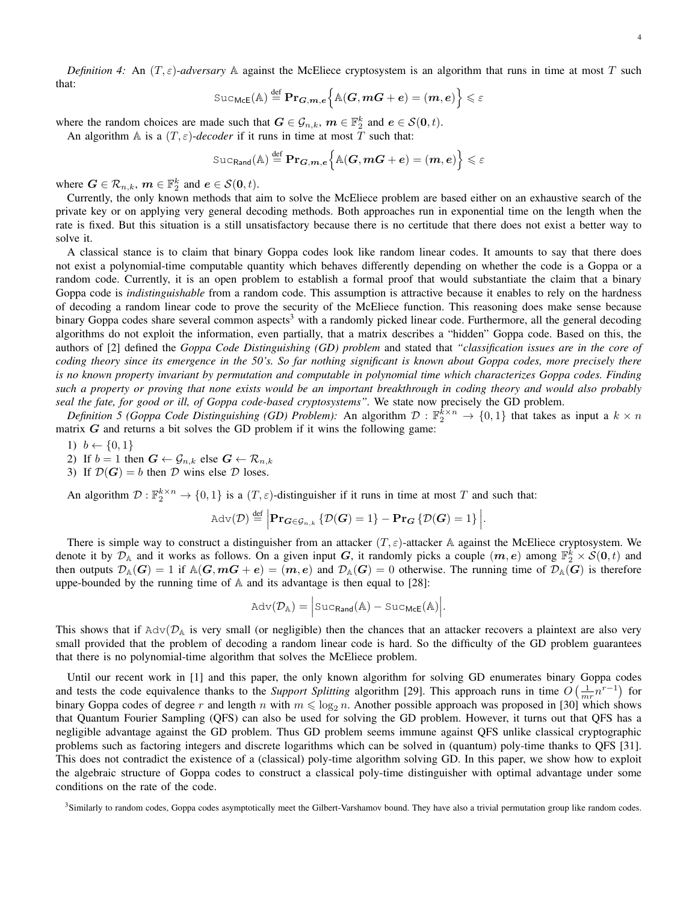*Definition 4:* An  $(T, \varepsilon)$ -*adversary* A against the McEliece cryptosystem is an algorithm that runs in time at most T such that:

$$
\texttt{Suc}_\mathsf{McE}(\mathbb{A}) \stackrel{\text{def}}{=} \mathbf{Pr}_{\bm{G},\bm{m},\bm{e}} \Big\{ \mathbb{A}(\bm{G}, \bm{m}\bm{G}+\bm{e}) = (\bm{m},\bm{e}) \Big\} \leqslant \varepsilon
$$

where the random choices are made such that  $G \in \mathcal{G}_{n,k}$ ,  $m \in \mathbb{F}_2^k$  and  $e \in \mathcal{S}(0,t)$ .

An algorithm A is a  $(T, \varepsilon)$ -decoder if it runs in time at most T such that:

$$
{\tt SuccRand}({\mathbb{A}}) \stackrel{\text{def}}{=} \mathbf{Pr}_{\bm{G},\bm{m},\bm{e}} \Big\{{\mathbb{A}}(\bm{G},\bm{m}\bm{G}+\bm{e}) = (\bm{m},\bm{e})\Big\} \leqslant \varepsilon
$$

where  $\mathbf{G} \in \mathcal{R}_{n,k}$ ,  $\mathbf{m} \in \mathbb{F}_2^k$  and  $\mathbf{e} \in \mathcal{S}(\mathbf{0}, t)$ .

Currently, the only known methods that aim to solve the McEliece problem are based either on an exhaustive search of the private key or on applying very general decoding methods. Both approaches run in exponential time on the length when the rate is fixed. But this situation is a still unsatisfactory because there is no certitude that there does not exist a better way to solve it.

A classical stance is to claim that binary Goppa codes look like random linear codes. It amounts to say that there does not exist a polynomial-time computable quantity which behaves differently depending on whether the code is a Goppa or a random code. Currently, it is an open problem to establish a formal proof that would substantiate the claim that a binary Goppa code is *indistinguishable* from a random code. This assumption is attractive because it enables to rely on the hardness of decoding a random linear code to prove the security of the McEliece function. This reasoning does make sense because binary Goppa codes share several common aspects<sup>3</sup> with a randomly picked linear code. Furthermore, all the general decoding algorithms do not exploit the information, even partially, that a matrix describes a "hidden" Goppa code. Based on this, the authors of [2] defined the *Goppa Code Distinguishing (GD) problem* and stated that *"classification issues are in the core of coding theory since its emergence in the 50's. So far nothing significant is known about Goppa codes, more precisely there is no known property invariant by permutation and computable in polynomial time which characterizes Goppa codes. Finding such a property or proving that none exists would be an important breakthrough in coding theory and would also probably seal the fate, for good or ill, of Goppa code-based cryptosystems".* We state now precisely the GD problem.

*Definition 5 (Goppa Code Distinguishing (GD) Problem)*: An algorithm  $\mathcal{D}: \mathbb{F}_2^{k \times n} \to \{0,1\}$  that takes as input a  $k \times n$ matrix  $G$  and returns a bit solves the GD problem if it wins the following game:

1)  $b \leftarrow \{0, 1\}$ 

2) If  $b = 1$  then  $G \leftarrow \mathcal{G}_{n,k}$  else  $G \leftarrow \mathcal{R}_{n,k}$ 

3) If  $\mathcal{D}(G) = b$  then D wins else D loses.

An algorithm  $\mathcal{D}: \mathbb{F}_2^{k \times n} \to \{0,1\}$  is a  $(T,\varepsilon)$ -distinguisher if it runs in time at most T and such that:

$$
Adv(\mathcal{D}) \stackrel{\text{def}}{=} \Big|\mathbf{Pr}_{\mathbf{G}\in\mathcal{G}_{n,k}}\left\{\mathcal{D}(\mathbf{G})=1\right\}-\mathbf{Pr}_{\mathbf{G}}\left\{\mathcal{D}(\mathbf{G})=1\right\}\Big|.
$$

There is simple way to construct a distinguisher from an attacker (T,  $\varepsilon$ )-attacker A against the McEliece cryptosystem. We denote it by  $\mathcal{D}_A$  and it works as follows. On a given input G, it randomly picks a couple  $(m, e)$  among  $\mathbb{F}_2^k \times \mathcal{S}(0, t)$  and then outputs  $D_{\mathbb{A}}(G) = 1$  if  $\mathbb{A}(G, mG + e) = (m, e)$  and  $D_{\mathbb{A}}(G) = 0$  otherwise. The running time of  $D_{\mathbb{A}}(G)$  is therefore uppe-bounded by the running time of  $A$  and its advantage is then equal to [28]:

$$
Adv(\mathcal{D}_{\mathbb{A}}) = \Big| Succ_{\mathsf{Rand}}(\mathbb{A}) - Succ_{\mathsf{McE}}(\mathbb{A}) \Big|.
$$

This shows that if  $\text{Adv}(\mathcal{D}_A)$  is very small (or negligible) then the chances that an attacker recovers a plaintext are also very small provided that the problem of decoding a random linear code is hard. So the difficulty of the GD problem guarantees that there is no polynomial-time algorithm that solves the McEliece problem.

Until our recent work in [1] and this paper, the only known algorithm for solving GD enumerates binary Goppa codes and tests the code equivalence thanks to the *Support Splitting* algorithm [29]. This approach runs in time  $O\left(\frac{1}{mr}n^{r-1}\right)$  for binary Goppa codes of degree r and length n with  $m \leq \log_2 n$ . Another possible approach was proposed in [30] which shows that Quantum Fourier Sampling (QFS) can also be used for solving the GD problem. However, it turns out that QFS has a negligible advantage against the GD problem. Thus GD problem seems immune against QFS unlike classical cryptographic problems such as factoring integers and discrete logarithms which can be solved in (quantum) poly-time thanks to QFS [31]. This does not contradict the existence of a (classical) poly-time algorithm solving GD. In this paper, we show how to exploit the algebraic structure of Goppa codes to construct a classical poly-time distinguisher with optimal advantage under some conditions on the rate of the code.

<sup>3</sup>Similarly to random codes, Goppa codes asymptotically meet the Gilbert-Varshamov bound. They have also a trivial permutation group like random codes.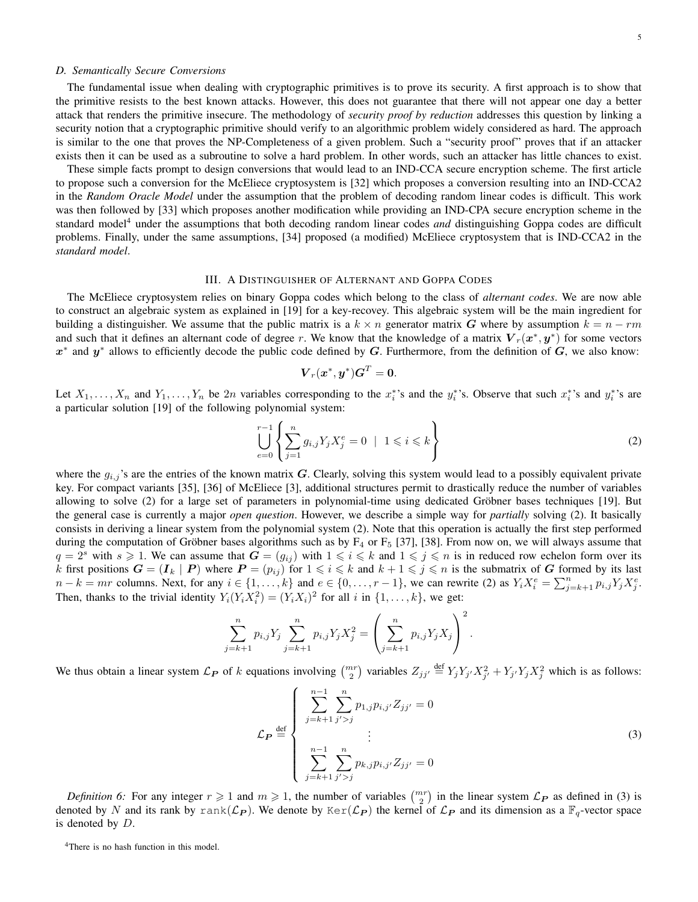#### *D. Semantically Secure Conversions*

The fundamental issue when dealing with cryptographic primitives is to prove its security. A first approach is to show that the primitive resists to the best known attacks. However, this does not guarantee that there will not appear one day a better attack that renders the primitive insecure. The methodology of *security proof by reduction* addresses this question by linking a security notion that a cryptographic primitive should verify to an algorithmic problem widely considered as hard. The approach is similar to the one that proves the NP-Completeness of a given problem. Such a "security proof" proves that if an attacker exists then it can be used as a subroutine to solve a hard problem. In other words, such an attacker has little chances to exist.

These simple facts prompt to design conversions that would lead to an IND-CCA secure encryption scheme. The first article to propose such a conversion for the McEliece cryptosystem is [32] which proposes a conversion resulting into an IND-CCA2 in the *Random Oracle Model* under the assumption that the problem of decoding random linear codes is difficult. This work was then followed by [33] which proposes another modification while providing an IND-CPA secure encryption scheme in the standard model<sup>4</sup> under the assumptions that both decoding random linear codes *and* distinguishing Goppa codes are difficult problems. Finally, under the same assumptions, [34] proposed (a modified) McEliece cryptosystem that is IND-CCA2 in the *standard model*.

#### III. A DISTINGUISHER OF ALTERNANT AND GOPPA CODES

The McEliece cryptosystem relies on binary Goppa codes which belong to the class of *alternant codes*. We are now able to construct an algebraic system as explained in [19] for a key-recovey. This algebraic system will be the main ingredient for building a distinguisher. We assume that the public matrix is a  $k \times n$  generator matrix G where by assumption  $k = n - rm$ and such that it defines an alternant code of degree r. We know that the knowledge of a matrix  $V_r(x^*, y^*)$  for some vectors  $x^*$  and  $y^*$  allows to efficiently decode the public code defined by G. Furthermore, from the definition of G, we also know:

$$
\boldsymbol{V}_r(\boldsymbol{x}^*,\boldsymbol{y}^*)\boldsymbol{G}^T=\boldsymbol{0}.
$$

Let  $X_1, \ldots, X_n$  and  $Y_1, \ldots, Y_n$  be  $2n$  variables corresponding to the  $x_i^*$ 's and the  $y_i^*$ 's. Observe that such  $x_i^*$ 's and  $y_i^*$ 's are a particular solution [19] of the following polynomial system:

$$
\bigcup_{e=0}^{r-1} \left\{ \sum_{j=1}^n g_{i,j} Y_j X_j^e = 0 \mid 1 \leqslant i \leqslant k \right\} \tag{2}
$$

where the  $g_{i,j}$ 's are the entries of the known matrix G. Clearly, solving this system would lead to a possibly equivalent private key. For compact variants [35], [36] of McEliece [3], additional structures permit to drastically reduce the number of variables allowing to solve (2) for a large set of parameters in polynomial-time using dedicated Gröbner bases techniques [19]. But the general case is currently a major *open question*. However, we describe a simple way for *partially* solving (2). It basically consists in deriving a linear system from the polynomial system (2). Note that this operation is actually the first step performed during the computation of Gröbner bases algorithms such as by  $F_4$  or  $F_5$  [37], [38]. From now on, we will always assume that  $q = 2<sup>s</sup>$  with  $s \ge 1$ . We can assume that  $G = (g_{ij})$  with  $1 \le i \le k$  and  $1 \le j \le n$  is in reduced row echelon form over its k first positions  $G = (I_k | P)$  where  $P = (p_{ij})$  for  $1 \leq i \leq k$  and  $k + 1 \leq j \leq n$  is the submatrix of G formed by its last  $n - k = mr$  columns. Next, for any  $i \in \{1, ..., k\}$  and  $e \in \{0, ..., r - 1\}$ , we can rewrite (2) as  $Y_i X_i^e = \sum_{j=k+1}^n p_{i,j} Y_j X_j^e$ . Then, thanks to the trivial identity  $Y_i(Y_i X_i^2) = (Y_i X_i)^2$  for all i in  $\{1, \ldots, k\}$ , we get:

$$
\sum_{j=k+1}^{n} p_{i,j} Y_j \sum_{j=k+1}^{n} p_{i,j} Y_j X_j^2 = \left( \sum_{j=k+1}^{n} p_{i,j} Y_j X_j \right)^2.
$$

We thus obtain a linear system  $\mathcal{L}_{P}$  of k equations involving  $\binom{mr}{2}$  variables  $Z_{jj'} \stackrel{\text{def}}{=} Y_j Y_{j'} X_{j'}^2 + Y_{j'} Y_j X_j^2$  which is as follows:

$$
\mathcal{L}_{P} \stackrel{\text{def}}{=} \begin{cases} \sum_{j=k+1}^{n-1} \sum_{j'>j}^{n} p_{1,j} p_{i,j'} Z_{jj'} = 0 \\ \vdots \\ \sum_{j=k+1}^{n-1} \sum_{j'>j}^{n} p_{k,j} p_{i,j'} Z_{jj'} = 0 \end{cases}
$$
(3)

*Definition 6:* For any integer  $r \ge 1$  and  $m \ge 1$ , the number of variables  $\binom{mr}{2}$  in the linear system  $\mathcal{L}_{P}$  as defined in (3) is denoted by N and its rank by rank( $\mathcal{L}_P$ ). We denote by Ker( $\mathcal{L}_P$ ) the kernel of  $\mathcal{L}_P$  and its dimension as a  $\mathbb{F}_q$ -vector space is denoted by D.

<sup>4</sup>There is no hash function in this model.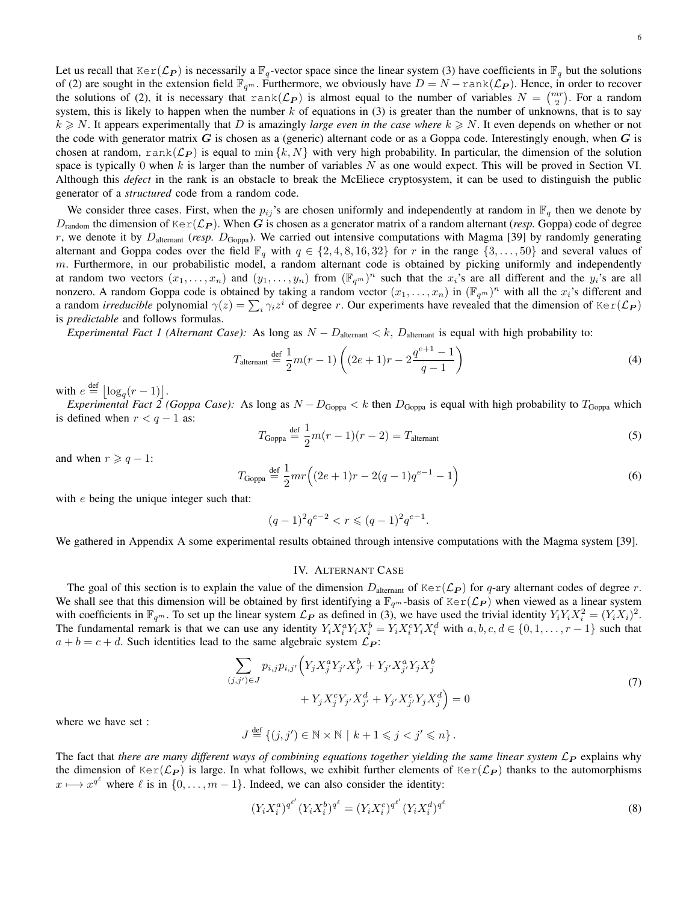Let us recall that  $Ker(\mathcal{L}_{\mathbf{P}})$  is necessarily a  $\mathbb{F}_q$ -vector space since the linear system (3) have coefficients in  $\mathbb{F}_q$  but the solutions of (2) are sought in the extension field  $\mathbb{F}_{q^m}$ . Furthermore, we obviously have  $D = N - \text{rank}(\mathcal{L}_{\mathbf{P}})$ . Hence, in order to recover the solutions of (2), it is necessary that rank  $(\mathcal{L}_{P})$  is almost equal to the number of variables  $N = \binom{mr}{2}$ . For a random system, this is likely to happen when the number  $k$  of equations in (3) is greater than the number of unknowns, that is to say  $k \geq N$ . It appears experimentally that D is amazingly *large even in the case where*  $k \geq N$ . It even depends on whether or not the code with generator matrix  $G$  is chosen as a (generic) alternant code or as a Goppa code. Interestingly enough, when  $G$  is chosen at random,  $rank(\mathcal{L}_{P})$  is equal to min  $\{k, N\}$  with very high probability. In particular, the dimension of the solution space is typically 0 when k is larger than the number of variables N as one would expect. This will be proved in Section VI. Although this *defect* in the rank is an obstacle to break the McEliece cryptosystem, it can be used to distinguish the public generator of a *structured* code from a random code.

We consider three cases. First, when the  $p_{ij}$ 's are chosen uniformly and independently at random in  $\mathbb{F}_q$  then we denote by  $D_{\text{random}}$  the dimension of Ker( $\mathcal{L}_{P}$ ). When G is chosen as a generator matrix of a random alternant (*resp*. Goppa) code of degree r, we denote it by  $D_{\text{alternant}}$  (*resp.*  $D_{\text{Goppa}}$ ). We carried out intensive computations with Magma [39] by randomly generating alternant and Goppa codes over the field  $\mathbb{F}_q$  with  $q \in \{2, 4, 8, 16, 32\}$  for r in the range  $\{3, \ldots, 50\}$  and several values of  $m$ . Furthermore, in our probabilistic model, a random alternant code is obtained by picking uniformly and independently at random two vectors  $(x_1, \ldots, x_n)$  and  $(y_1, \ldots, y_n)$  from  $(\mathbb{F}_{q^m})^n$  such that the  $x_i$ 's are all different and the  $y_i$ 's are all nonzero. A random Goppa code is obtained by taking a random vector  $(x_1, \ldots, x_n)$  in  $(\mathbb{F}_{q^m})^n$  with all the  $x_i$ 's different and a random *irreducible* polynomial  $\gamma(z) = \sum_i \gamma_i z^i$  of degree r. Our experiments have revealed that the dimension of Ker( $\mathcal{L}_{P}$ ) is *predictable* and follows formulas.

*Experimental Fact 1 (Alternant Case):* As long as  $N - D_{\text{alternant}} < k$ ,  $D_{\text{alternant}}$  is equal with high probability to:

$$
T_{\text{alternant}} \stackrel{\text{def}}{=} \frac{1}{2}m(r-1)\left((2e+1)r - 2\frac{q^{e+1}-1}{q-1}\right)
$$
 (4)

with  $e \stackrel{\text{def}}{=} \lfloor \log_q(r-1) \rfloor$ .

*Experimental Fact 2 (Goppa Case):* As long as  $N - D_{Goppa} < k$  then  $D_{Goppa}$  is equal with high probability to  $T_{Goppa}$  which is defined when  $r < q - 1$  as:

$$
T_{\text{Goppa}} \stackrel{\text{def}}{=} \frac{1}{2}m(r-1)(r-2) = T_{\text{alternant}}
$$
\n(5)

and when  $r \geqslant q - 1$ :

$$
T_{\text{Goppa}} \stackrel{\text{def}}{=} \frac{1}{2} mr \left( (2e+1)r - 2(q-1)q^{e-1} - 1 \right)
$$
 (6)

with  $e$  being the unique integer such that:

$$
(q-1)^2 q^{e-2} < r \leqslant (q-1)^2 q^{e-1}.
$$

We gathered in Appendix A some experimental results obtained through intensive computations with the Magma system [39].

#### IV. ALTERNANT CASE

The goal of this section is to explain the value of the dimension  $D_{\text{alternant}}$  of Ker( $\mathcal{L}_{P}$ ) for q-ary alternant codes of degree r. We shall see that this dimension will be obtained by first identifying a  $\mathbb{F}_{q^m}$ -basis of Ker( $\mathcal{L}_P$ ) when viewed as a linear system with coefficients in  $\mathbb{F}_{q^m}$ . To set up the linear system  $\mathcal{L}_{P}$  as defined in (3), we have used the trivial identity  $Y_i Y_i X_i^2 = (Y_i X_i)^2$ . The fundamental remark is that we can use any identity  $Y_i X_i^a Y_i X_i^b = Y_i X_i^c Y_i X_i^d$  with  $a, b, c, d \in \{0, 1, \ldots, r - 1\}$  such that  $a + b = c + d$ . Such identities lead to the same algebraic system  $\mathcal{L}_{\mathbf{P}}$ :

$$
\sum_{(j,j')\in J} p_{i,j} p_{i,j'} \left(Y_j X_j^a Y_{j'} X_{j'}^b + Y_{j'} X_{j'}^a Y_j X_j^b + Y_{j'} X_{j'}^c Y_j X_j^d\right) + Y_j X_j^c Y_{j'} X_{j'}^d + Y_{j'} X_{j'}^c Y_j X_j^d\right) = 0
$$
\n(7)

where we have set :

$$
J \stackrel{\text{def}}{=} \left\{ (j, j') \in \mathbb{N} \times \mathbb{N} \mid k+1 \leq j < j' \leq n \right\}.
$$

The fact that *there are many different ways of combining equations together yielding the same linear system*  $\mathcal{L}_P$  explains why the dimension of Ker( $\mathcal{L}_{P}$ ) is large. In what follows, we exhibit further elements of Ker( $\mathcal{L}_{P}$ ) thanks to the automorphisms  $x \mapsto x^{q^{\ell}}$  where  $\ell$  is in  $\{0, \ldots, m-1\}$ . Indeed, we can also consider the identity:

$$
(Y_i X_i^a)^{q^{\ell'}} (Y_i X_i^b)^{q^{\ell}} = (Y_i X_i^c)^{q^{\ell'}} (Y_i X_i^d)^{q^{\ell}}
$$
\n(8)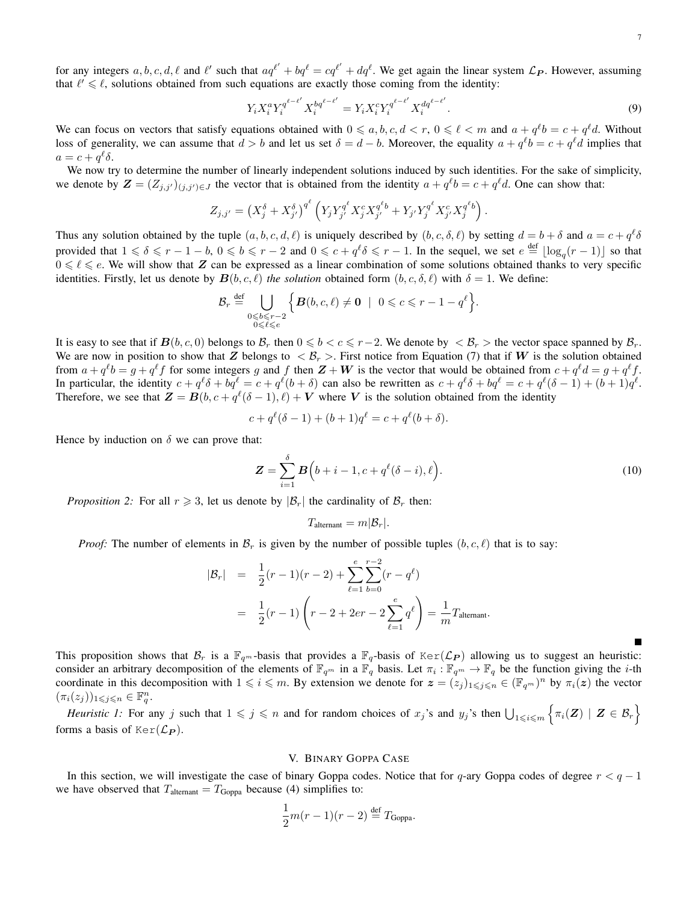for any integers  $a, b, c, d, \ell$  and  $\ell'$  such that  $aq^{\ell'} + bq^{\ell} = cq^{\ell'} + dq^{\ell}$ . We get again the linear system  $\mathcal{L}_{\mathbf{P}}$ . However, assuming that  $\ell' \leq \ell$ , solutions obtained from such equations are exactly those coming from the identity:

$$
Y_i X_i^a Y_i^{q^{\ell-\ell'}} X_i^{bq^{\ell-\ell'}} = Y_i X_i^c Y_i^{q^{\ell-\ell'}} X_i^{dq^{\ell-\ell'}}.
$$
\n(9)

We can focus on vectors that satisfy equations obtained with  $0 \le a, b, c, d < r$ ,  $0 \le \ell < m$  and  $a + q^{\ell}b = c + q^{\ell}d$ . Without loss of generality, we can assume that  $d > b$  and let us set  $\delta = d - b$ . Moreover, the equality  $a + q^{\ell}b = c + q^{\ell}d$  implies that  $a = c + q^{\ell} \delta.$ 

We now try to determine the number of linearly independent solutions induced by such identities. For the sake of simplicity, we denote by  $\mathbf{Z} = (Z_{j,j'})_{(j,j')\in J}$  the vector that is obtained from the identity  $a + q^{\ell}b = c + q^{\ell}d$ . One can show that:

$$
Z_{j,j'} = \left(X_j^{\delta} + X_{j'}^{\delta}\right)^{q^{\ell}} \left(Y_j Y_{j'}^{q^{\ell}} X_j^c X_{j'}^{q^{\ell}b} + Y_{j'} Y_j^{q^{\ell}} X_{j'}^c X_j^{q^{\ell}b}\right).
$$

Thus any solution obtained by the tuple  $(a, b, c, d, \ell)$  is uniquely described by  $(b, c, \delta, \ell)$  by setting  $d = b + \delta$  and  $a = c + q^{\ell} \delta$ provided that  $1 \leqslant \delta \leqslant r - 1 - b$ ,  $0 \leqslant b \leqslant r - 2$  and  $0 \leqslant c + q^{\ell} \delta \leqslant r - 1$ . In the sequel, we set  $e \stackrel{\text{def}}{=} \lfloor \log_{q}(r - 1) \rfloor$  so that  $0 \le \ell \le e$ . We will show that Z can be expressed as a linear combination of some solutions obtained thanks to very specific identities. Firstly, let us denote by  $B(b, c, l)$  *the solution* obtained form  $(b, c, \delta, l)$  with  $\delta = 1$ . We define:

$$
\mathcal{B}_r \stackrel{\text{def}}{=} \bigcup_{\substack{0 \leqslant b \leqslant r-2 \\ 0 \leqslant \ell \leqslant e}} \Big\{ \boldsymbol{B}(b,c,\ell) \neq \boldsymbol{0} \ \mid \ 0 \leqslant c \leqslant r-1-q^{\ell} \Big\}.
$$

It is easy to see that if  $B(b, c, 0)$  belongs to  $\mathcal{B}_r$  then  $0 \leq b < c \leq r-2$ . We denote by  $\langle \mathcal{B}_r \rangle$  the vector space spanned by  $\mathcal{B}_r$ . We are now in position to show that Z belongs to  $\langle B_r \rangle$ . First notice from Equation (7) that if W is the solution obtained from  $a + q^{\ell}b = g + q^{\ell}f$  for some integers g and f then  $\mathbf{Z} + \mathbf{W}$  is the vector that would be obtained from  $c + q^{\ell}d = g + q^{\ell}f$ . In particular, the identity  $c + q^\ell \delta + b q^\ell = c + q^\ell (b + \delta)$  can also be rewritten as  $c + q^\ell \delta + b q^\ell = c + q^\ell (\delta - 1) + (b + 1) q^\ell$ . Therefore, we see that  $\mathbf{Z} = \mathbf{B}(b, c + q^{\ell}(\delta - 1), \ell) + \mathbf{V}$  where V is the solution obtained from the identity

$$
c + q^{\ell}(\delta - 1) + (b + 1)q^{\ell} = c + q^{\ell}(b + \delta).
$$

Hence by induction on  $\delta$  we can prove that:

$$
\mathbf{Z} = \sum_{i=1}^{\delta} \mathbf{B} \left( b + i - 1, c + q^{\ell} (\delta - i), \ell \right).
$$
 (10)

*Proposition 2:* For all  $r \geq 3$ , let us denote by  $|\mathcal{B}_r|$  the cardinality of  $\mathcal{B}_r$  then:

$$
T_{\text{alternant}} = m|\mathcal{B}_r|.
$$

*Proof:* The number of elements in  $\mathcal{B}_r$  is given by the number of possible tuples  $(b, c, \ell)$  that is to say:

$$
|\mathcal{B}_r| = \frac{1}{2}(r-1)(r-2) + \sum_{\ell=1}^e \sum_{b=0}^{r-2} (r - q^{\ell})
$$
  
=  $\frac{1}{2}(r-1)\left(r - 2 + 2er - 2\sum_{\ell=1}^e q^{\ell}\right) = \frac{1}{m}T_{\text{alternant}}.$ 

This proposition shows that  $\mathcal{B}_r$  is a  $\mathbb{F}_{q^m}$ -basis that provides a  $\mathbb{F}_q$ -basis of Ker $(\mathcal{L}_P)$  allowing us to suggest an heuristic: consider an arbitrary decomposition of the elements of  $\mathbb{F}_{q^m}$  in a  $\mathbb{F}_q$  basis. Let  $\pi_i : \mathbb{F}_{q^m} \to \mathbb{F}_q$  be the function giving the *i*-th coordinate in this decomposition with  $1 \leq i \leq m$ . By extension we denote for  $z = (z_j)_{1 \leq j \leq n} \in (\mathbb{F}_{q^m})^n$  by  $\pi_i(z)$  the vector  $(\pi_i(z_j))_{1\leqslant j\leqslant n}\in \mathbb{F}_q^n.$ 

*Heuristic 1:* For any j such that  $1 \leqslant j \leqslant n$  and for random choices of  $x_j$ 's and  $y_j$ 's then  $\bigcup_{1 \leqslant i \leqslant m} \left\{ \pi_i(\mathbf{Z}) \mid \mathbf{Z} \in \mathcal{B}_r \right\}$ forms a basis of  $\text{Ker}(\mathcal{L}_{\mathbf{P}})$ .

# V. BINARY GOPPA CASE

In this section, we will investigate the case of binary Goppa codes. Notice that for q-ary Goppa codes of degree  $r < q - 1$ we have observed that  $T_{\text{alternant}} = T_{\text{Goppa}}$  because (4) simplifies to:

$$
\frac{1}{2}m(r-1)(r-2) \stackrel{\text{def}}{=} T_{\text{Goppa}}.
$$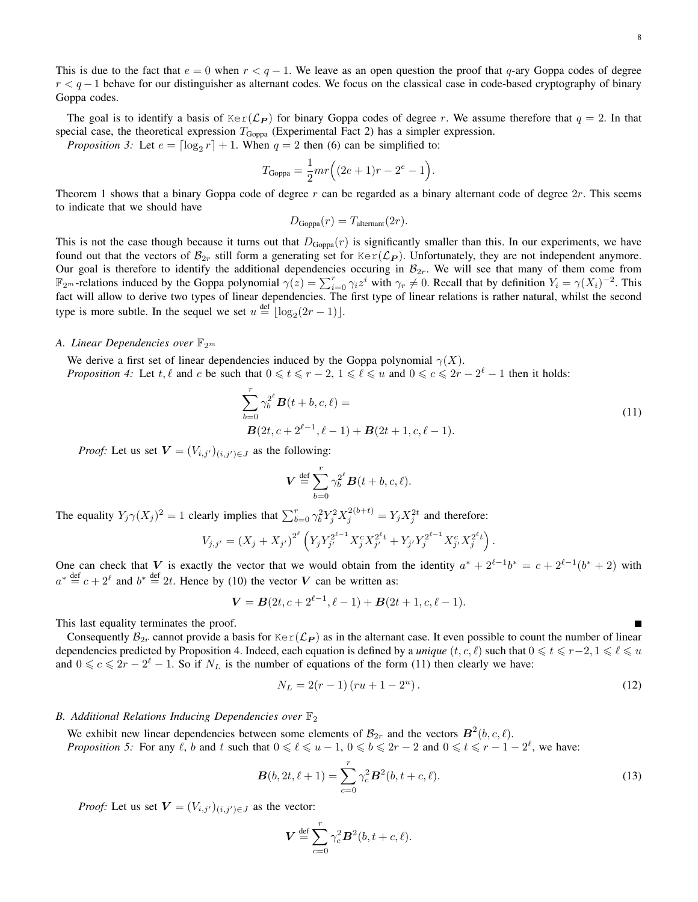8

This is due to the fact that  $e = 0$  when  $r < q - 1$ . We leave as an open question the proof that q-ary Goppa codes of degree  $r < q-1$  behave for our distinguisher as alternant codes. We focus on the classical case in code-based cryptography of binary Goppa codes.

The goal is to identify a basis of  $Ker(\mathcal{L}_P)$  for binary Goppa codes of degree r. We assume therefore that  $q = 2$ . In that special case, the theoretical expression  $T_{\text{Goppa}}$  (Experimental Fact 2) has a simpler expression.

*Proposition 3:* Let  $e = \lceil \log_2 r \rceil + 1$ . When  $q = 2$  then (6) can be simplified to:

$$
T_{\text{Goppa}} = \frac{1}{2} mr \Big( (2e+1)r - 2^e - 1 \Big).
$$

Theorem 1 shows that a binary Goppa code of degree r can be regarded as a binary alternant code of degree  $2r$ . This seems to indicate that we should have

$$
D_{\text{Goppa}}(r) = T_{\text{alternant}}(2r).
$$

This is not the case though because it turns out that  $D_{\text{Goppa}}(r)$  is significantly smaller than this. In our experiments, we have found out that the vectors of  $\mathcal{B}_{2r}$  still form a generating set for Ker( $\mathcal{L}_{P}$ ). Unfortunately, they are not independent anymore. Our goal is therefore to identify the additional dependencies occuring in  $B_{2r}$ . We will see that many of them come from  $\mathbb{F}_{2^m}$ -relations induced by the Goppa polynomial  $\gamma(z) = \sum_{i=0}^r \gamma_i z^i$  with  $\gamma_r \neq 0$ . Recall that by definition  $Y_i = \gamma(X_i)^{-2}$ . This fact will allow to derive two types of linear dependencies. The first type of linear relations is rather natural, whilst the second type is more subtle. In the sequel we set  $u \stackrel{\text{def}}{=} \lfloor \log_2(2r - 1) \rfloor$ .

# A. Linear Dependencies over  $\mathbb{F}_{2^m}$

We derive a first set of linear dependencies induced by the Goppa polynomial  $\gamma(X)$ . *Proposition 4:* Let  $t, \ell$  and  $c$  be such that  $0 \leq t \leq r - 2$ ,  $1 \leq \ell \leq u$  and  $0 \leq c \leq 2r - 2^{\ell} - 1$  then it holds:

$$
\sum_{b=0}^{r} \gamma_b^{2^{\ell}} \mathbf{B}(t+b, c, \ell) =
$$
  
\n
$$
\mathbf{B}(2t, c+2^{\ell-1}, \ell-1) + \mathbf{B}(2t+1, c, \ell-1).
$$
\n(11)

*Proof:* Let us set  $V = (V_{i,j'})_{(i,j')\in J}$  as the following:

$$
\boldsymbol{V} \stackrel{\text{def}}{=} \sum_{b=0}^{r} \gamma_b^{2^{\ell}} \boldsymbol{B}(t+b, c, \ell).
$$

The equality  $Y_j \gamma(X_j)^2 = 1$  clearly implies that  $\sum_{b=0}^r \gamma_b^2 Y_j^2 X_j^{2(b+t)} = Y_j X_j^{2t}$  and therefore:

$$
V_{j,j'} = (X_j + X_{j'})^{2^{\ell}} \left( Y_j Y_{j'}^{2^{\ell-1}} X_j^c X_{j'}^{2^{\ell}t} + Y_{j'} Y_j^{2^{\ell-1}} X_{j'}^c X_j^{2^{\ell}t} \right).
$$

One can check that V is exactly the vector that we would obtain from the identity  $a^* + 2^{\ell-1}b^* = c + 2^{\ell-1}(b^* + 2)$  with  $a^* \stackrel{\text{def}}{=} c + 2^{\ell}$  and  $b^* \stackrel{\text{def}}{=} 2t$ . Hence by (10) the vector V can be written as:

$$
V = B(2t, c + 2^{\ell-1}, \ell - 1) + B(2t + 1, c, \ell - 1).
$$

This last equality terminates the proof.

Consequently  $\mathcal{B}_{2r}$  cannot provide a basis for  $\text{Ker}(\mathcal{L}_{P})$  as in the alternant case. It even possible to count the number of linear dependencies predicted by Proposition 4. Indeed, each equation is defined by a *unique*  $(t, c, \ell)$  such that  $0 \le t \le r-2, 1 \le \ell \le u$ and  $0 \leq c \leq 2r - 2^{\ell} - 1$ . So if  $N_L$  is the number of equations of the form (11) then clearly we have:

$$
N_L = 2(r - 1)(ru + 1 - 2^u). \tag{12}
$$

# *B. Additional Relations Inducing Dependencies over*  $\mathbb{F}_2$

We exhibit new linear dependencies between some elements of  $\mathcal{B}_{2r}$  and the vectors  $\mathbf{B}^2(b,c,\ell)$ . *Proposition 5:* For any  $\ell$ , b and t such that  $0 \le \ell \le u - 1$ ,  $0 \le b \le 2r - 2$  and  $0 \le t \le r - 1 - 2^{\ell}$ , we have:

$$
\boldsymbol{B}(b, 2t, \ell + 1) = \sum_{c=0}^{r} \gamma_c^2 \boldsymbol{B}^2(b, t + c, \ell).
$$
 (13)

*Proof:* Let us set  $V = (V_{i,j'})_{(i,j')\in J}$  as the vector:

$$
\boldsymbol{V} \stackrel{\text{def}}{=} \sum_{c=0}^{r} \gamma_c^2 \boldsymbol{B}^2(b, t+c, \ell).
$$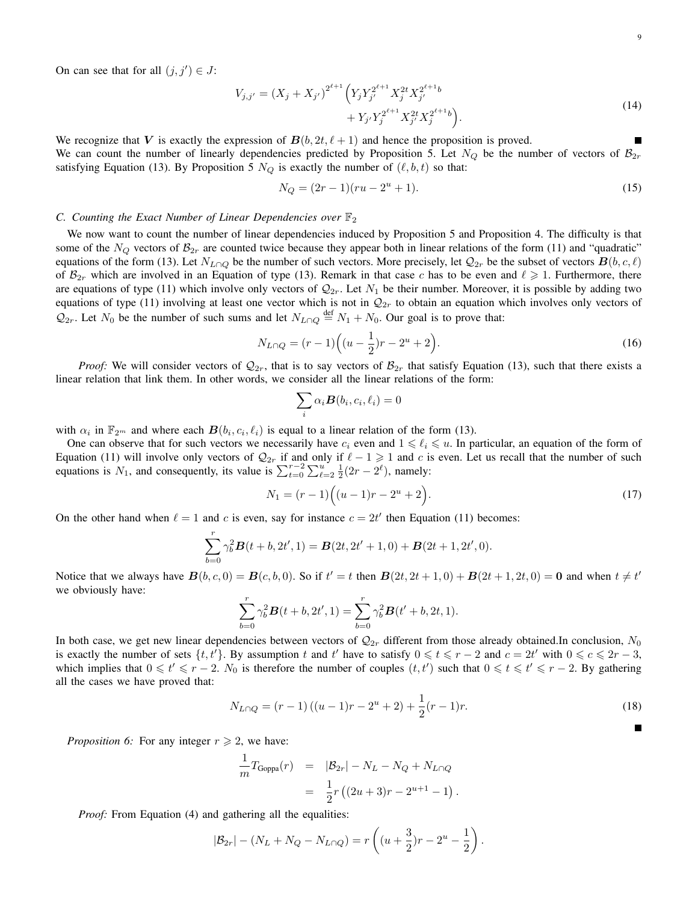On can see that for all  $(j, j') \in J$ :

$$
V_{j,j'} = (X_j + X_{j'})^{2^{\ell+1}} \left(Y_j Y_{j'}^{2^{\ell+1}} X_j^{2t} X_{j'}^{2^{\ell+1} b} + Y_{j'} Y_j^{2^{\ell+1}} X_{j'}^{2t} X_j^{2^{\ell+1} b}\right).
$$
\n(14)

We recognize that V is exactly the expression of  $B(b, 2t, \ell + 1)$  and hence the proposition is proved. We can count the number of linearly dependencies predicted by Proposition 5. Let  $N_Q$  be the number of vectors of  $B_{2r}$ satisfying Equation (13). By Proposition 5  $N_Q$  is exactly the number of  $(\ell, b, t)$  so that:

$$
N_Q = (2r - 1)(ru - 2^u + 1). \tag{15}
$$

#### *C. Counting the Exact Number of Linear Dependencies over*  $\mathbb{F}_2$

We now want to count the number of linear dependencies induced by Proposition 5 and Proposition 4. The difficulty is that some of the  $N_Q$  vectors of  $\mathcal{B}_{2r}$  are counted twice because they appear both in linear relations of the form (11) and "quadratic" equations of the form (13). Let  $N_{L\cap Q}$  be the number of such vectors. More precisely, let  $Q_{2r}$  be the subset of vectors  $B(b, c, \ell)$ of  $\mathcal{B}_{2r}$  which are involved in an Equation of type (13). Remark in that case c has to be even and  $\ell \geqslant 1$ . Furthermore, there are equations of type (11) which involve only vectors of  $\mathcal{Q}_{2r}$ . Let  $N_1$  be their number. Moreover, it is possible by adding two equations of type (11) involving at least one vector which is not in  $\mathcal{Q}_{2r}$  to obtain an equation which involves only vectors of  $\mathcal{Q}_{2r}$ . Let  $N_0$  be the number of such sums and let  $N_{L\cap Q} \stackrel{\text{def}}{=} N_1 + N_0$ . Our goal is to prove that:

$$
N_{L \cap Q} = (r-1)\left((u - \frac{1}{2})r - 2^u + 2\right).
$$
\n(16)

*Proof:* We will consider vectors of  $\mathcal{Q}_{2r}$ , that is to say vectors of  $\mathcal{B}_{2r}$  that satisfy Equation (13), such that there exists a linear relation that link them. In other words, we consider all the linear relations of the form:

$$
\sum_i \alpha_i \boldsymbol{B}(b_i, c_i, \ell_i) = 0
$$

with  $\alpha_i$  in  $\mathbb{F}_{2^m}$  and where each  $\mathbf{B}(b_i, c_i, \ell_i)$  is equal to a linear relation of the form (13).

One can observe that for such vectors we necessarily have  $c_i$  even and  $1 \leq \ell_i \leq u$ . In particular, an equation of the form of Equation (11) will involve only vectors of  $\mathcal{Q}_{2r}$  if and only if  $\ell - 1 \geq 1$  and c is even. Let us recall that the number of such equations is  $N_1$ , and consequently, its value is  $\sum_{t=0}^{r-2} \sum_{\ell=2}^{u} \frac{1}{2}(2r-2^{\ell})$ , namely:

$$
N_1 = (r-1)\left((u-1)r - 2^u + 2\right).
$$
\n(17)

On the other hand when  $\ell = 1$  and c is even, say for instance  $c = 2t'$  then Equation (11) becomes:

$$
\sum_{b=0}^{r} \gamma_b^2 \mathbf{B}(t+b, 2t', 1) = \mathbf{B}(2t, 2t'+1, 0) + \mathbf{B}(2t+1, 2t', 0).
$$

Notice that we always have  $B(b, c, 0) = B(c, b, 0)$ . So if  $t' = t$  then  $B(2t, 2t + 1, 0) + B(2t + 1, 2t, 0) = 0$  and when  $t \neq t'$ we obviously have:

$$
\sum_{b=0}^{r} \gamma_b^2 \mathbf{B}(t+b, 2t', 1) = \sum_{b=0}^{r} \gamma_b^2 \mathbf{B}(t'+b, 2t, 1).
$$

In both case, we get new linear dependencies between vectors of  $\mathcal{Q}_{2r}$  different from those already obtained.In conclusion,  $N_0$ is exactly the number of sets  $\{t, t'\}$ . By assumption t and t' have to satisfy  $0 \le t \le r - 2$  and  $c = 2t'$  with  $0 \le c \le 2r - 3$ , which implies that  $0 \leq t' \leq r - 2$ .  $N_0$  is therefore the number of couples  $(t, t')$  such that  $0 \leq t \leq t' \leq r - 2$ . By gathering all the cases we have proved that:

$$
N_{L\cap Q} = (r-1)((u-1)r - 2^u + 2) + \frac{1}{2}(r-1)r.
$$
\n(18)

*Proposition 6:* For any integer  $r \geq 2$ , we have:

$$
\frac{1}{m}T_{\text{Goppa}}(r) = |\mathcal{B}_{2r}| - N_L - N_Q + N_{L\cap Q}
$$
  
= 
$$
\frac{1}{2}r((2u+3)r - 2^{u+1} - 1).
$$

*Proof:* From Equation (4) and gathering all the equalities:

$$
|\mathcal{B}_{2r}| - (N_L + N_Q - N_{L\cap Q}) = r\left((u + \frac{3}{2})r - 2^u - \frac{1}{2}\right).
$$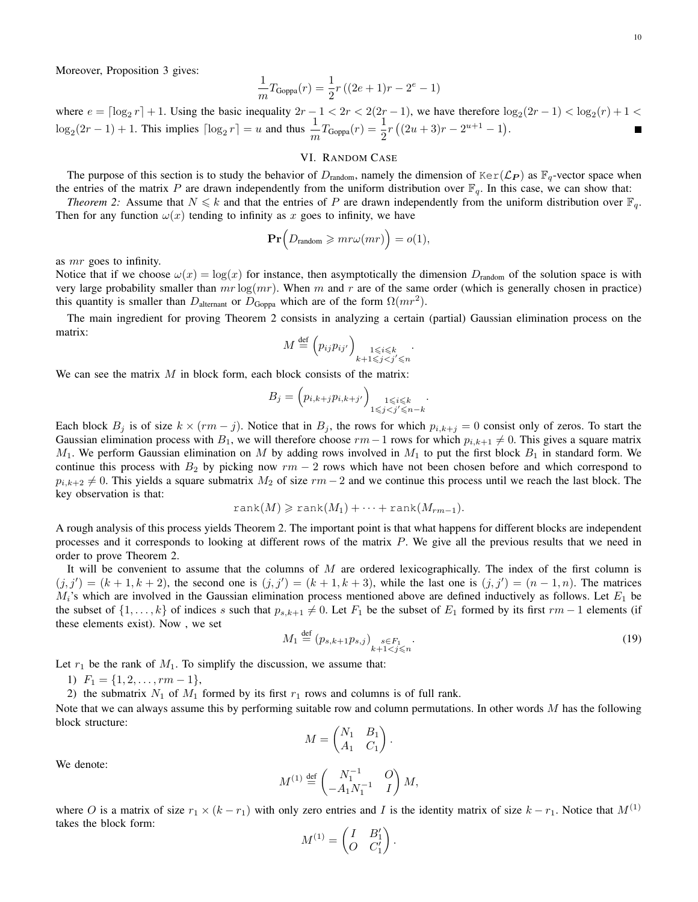$$
\frac{1}{m}T_{\text{Goppa}}(r) = \frac{1}{2}r((2e+1)r - 2^e - 1)
$$

where  $e = \lceil \log_2 r \rceil + 1$ . Using the basic inequality  $2r - 1 < 2r < 2(2r - 1)$ , we have therefore  $\log_2(2r - 1) < \log_2(r) + 1 <$  $\log_2(2r-1) + 1$ . This implies  $\lceil \log_2 r \rceil = u$  and thus  $\frac{1}{m}T_{\text{Goppa}}(r) = \frac{1}{2}r((2u+3)r - 2^{u+1} - 1)$ .

# VI. RANDOM CASE

The purpose of this section is to study the behavior of  $D_{random}$ , namely the dimension of Ker( $\mathcal{L}_{P}$ ) as  $\mathbb{F}_{q}$ -vector space when the entries of the matrix P are drawn independently from the uniform distribution over  $\mathbb{F}_q$ . In this case, we can show that:

*Theorem 2:* Assume that  $N \leq k$  and that the entries of P are drawn independently from the uniform distribution over  $\mathbb{F}_q$ . Then for any function  $\omega(x)$  tending to infinity as x goes to infinity, we have

$$
\mathbf{Pr}\Big(D_{\text{random}} \geqslant mr\omega(mr)\Big) = o(1),
$$

as mr goes to infinity.

Notice that if we choose  $\omega(x) = \log(x)$  for instance, then asymptotically the dimension  $D_{\text{random}}$  of the solution space is with very large probability smaller than  $mr \log(mr)$ . When m and r are of the same order (which is generally chosen in practice) this quantity is smaller than  $D_{\text{alternant}}$  or  $D_{\text{Goppa}}$  which are of the form  $\Omega(mr^2)$ .

The main ingredient for proving Theorem 2 consists in analyzing a certain (partial) Gaussian elimination process on the matrix:

$$
M \stackrel{\text{def}}{=} \left(p_{ij}p_{ij'}\right)_{\substack{1 \leq i \leq k \\ k+1 \leq j < j' \leq n}}.
$$

We can see the matrix  $M$  in block form, each block consists of the matrix:

$$
B_j = \left(p_{i,k+j}p_{i,k+j'}\right)_{\substack{1 \le i \le k \\ 1 \le j < j' \le n-k}}.
$$

Each block  $B_j$  is of size  $k \times (rm - j)$ . Notice that in  $B_j$ , the rows for which  $p_{i,k+j} = 0$  consist only of zeros. To start the Gaussian elimination process with B<sub>1</sub>, we will therefore choose  $rm-1$  rows for which  $p_{i,k+1} \neq 0$ . This gives a square matrix  $M_1$ . We perform Gaussian elimination on M by adding rows involved in  $M_1$  to put the first block  $B_1$  in standard form. We continue this process with  $B_2$  by picking now  $rm - 2$  rows which have not been chosen before and which correspond to  $p_{i,k+2} \neq 0$ . This yields a square submatrix  $M_2$  of size  $rm - 2$  and we continue this process until we reach the last block. The key observation is that:

$$
rank(M) \geqslant rank(M_1) + \cdots + rank(M_{rm-1}).
$$

A rough analysis of this process yields Theorem 2. The important point is that what happens for different blocks are independent processes and it corresponds to looking at different rows of the matrix  $P$ . We give all the previous results that we need in order to prove Theorem 2.

It will be convenient to assume that the columns of  $M$  are ordered lexicographically. The index of the first column is  $(j, j') = (k + 1, k + 2)$ , the second one is  $(j, j') = (k + 1, k + 3)$ , while the last one is  $(j, j') = (n - 1, n)$ . The matrices  $M_i$ 's which are involved in the Gaussian elimination process mentioned above are defined inductively as follows. Let  $E_1$  be the subset of  $\{1,\ldots,k\}$  of indices s such that  $p_{s,k+1} \neq 0$ . Let  $F_1$  be the subset of  $E_1$  formed by its first  $rm-1$  elements (if these elements exist). Now , we set

$$
M_1 \stackrel{\text{def}}{=} (p_{s,k+1}p_{s,j})_{\substack{s \in F_1 \\ k+1 < j \le n}}.
$$
\n(19)

Let  $r_1$  be the rank of  $M_1$ . To simplify the discussion, we assume that:

1)  $F_1 = \{1, 2, \ldots, rm - 1\},\$ 

2) the submatrix  $N_1$  of  $M_1$  formed by its first  $r_1$  rows and columns is of full rank.

Note that we can always assume this by performing suitable row and column permutations. In other words  $M$  has the following block structure:

$$
M = \begin{pmatrix} N_1 & B_1 \\ A_1 & C_1 \end{pmatrix}.
$$

We denote:

$$
M^{(1)}\stackrel{\text{def}}{=} \begin{pmatrix} N_1^{-1} & O \\ -A_1N_1^{-1} & I \end{pmatrix}M,
$$

where O is a matrix of size  $r_1 \times (k - r_1)$  with only zero entries and I is the identity matrix of size  $k - r_1$ . Notice that  $M^{(1)}$ takes the block form:

$$
M^{(1)} = \begin{pmatrix} I & B_1' \\ O & C_1' \end{pmatrix}.
$$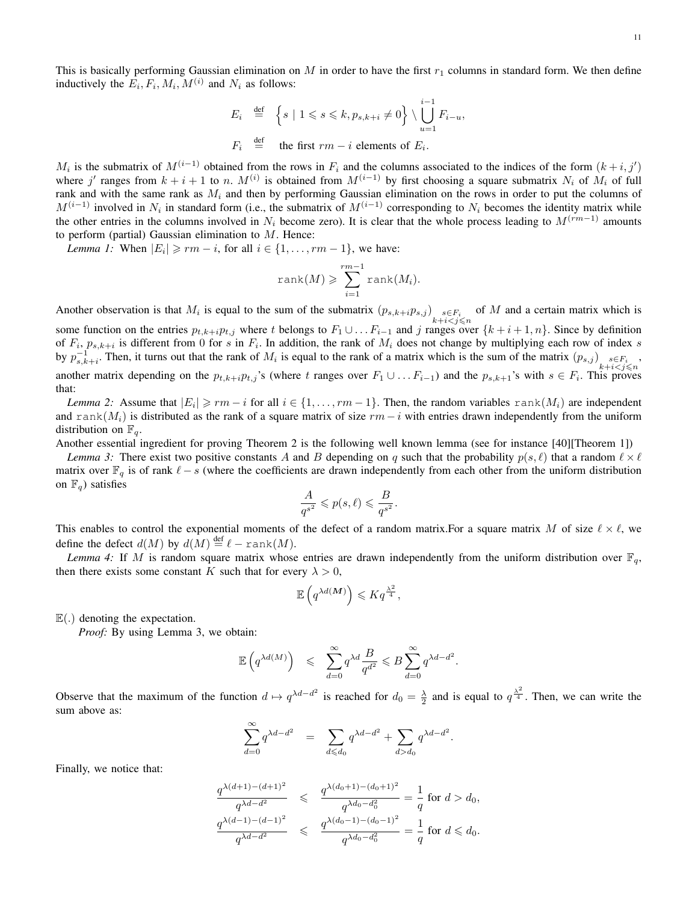This is basically performing Gaussian elimination on M in order to have the first  $r_1$  columns in standard form. We then define inductively the  $E_i, F_i, M_i, M^{(i)}$  and  $N_i$  as follows:

$$
E_i \stackrel{\text{def}}{=} \left\{ s \mid 1 \leqslant s \leqslant k, p_{s,k+i} \neq 0 \right\} \setminus \bigcup_{u=1}^{i-1} F_{i-u},
$$
  

$$
F_i \stackrel{\text{def}}{=} \text{the first } rm - i \text{ elements of } E_i.
$$

 $M_i$  is the submatrix of  $M^{(i-1)}$  obtained from the rows in  $F_i$  and the columns associated to the indices of the form  $(k+i, j')$ where j' ranges from  $k + i + 1$  to n.  $M^{(i)}$  is obtained from  $M^{(i-1)}$  by first choosing a square submatrix  $N_i$  of  $M_i$  of full rank and with the same rank as  $M_i$  and then by performing Gaussian elimination on the rows in order to put the columns of  $M^{(i-1)}$  involved in  $N_i$  in standard form (i.e., the submatrix of  $M^{(i-1)}$  corresponding to  $N_i$  becomes the identity matrix while the other entries in the columns involved in  $N_i$  become zero). It is clear that the whole process leading to  $M(rm-1)$  amounts to perform (partial) Gaussian elimination to  $M$ . Hence:

*Lemma 1:* When  $|E_i| \geq r m - i$ , for all  $i \in \{1, ..., rm - 1\}$ , we have:

$$
\operatorname{rank}(M) \geqslant \sum_{i=1}^{rm-1} \operatorname{rank}(M_i).
$$

Another observation is that  $M_i$  is equal to the sum of the submatrix  $(p_{s,k+i}p_{s,j})_{\substack{s \in F_i \\ k+i < j \le n}}$  of M and a certain matrix which is

some function on the entries  $p_{t,k+i}p_{t,j}$  where t belongs to  $F_1 \cup \ldots F_{i-1}$  and j ranges over  $\{k+i+1,n\}$ . Since by definition of  $F_i$ ,  $p_{s,k+i}$  is different from 0 for s in  $F_i$ . In addition, the rank of  $M_i$  does not change by multiplying each row of index s by  $p_{s,k+i}^{-1}$ . Then, it turns out that the rank of  $M_i$  is equal to the rank of a matrix which is the sum of the matrix  $(p_{s,j})_{s \in F_i}$ , another matrix depending on the  $p_{t,k+i}p_{t,j}$ 's (where t ranges over  $F_1 \cup \ldots F_{i-1}$ ) and the  $p_{s,k+1}$ 's with  $s \in F_i$ . This proves that:

*Lemma 2:* Assume that  $|E_i| \geqslant rm - i$  for all  $i \in \{1, ..., rm - 1\}$ . Then, the random variables  $rank(M_i)$  are independent and rank( $M_i$ ) is distributed as the rank of a square matrix of size  $rm -i$  with entries drawn independently from the uniform distribution on  $\mathbb{F}_q$ .

Another essential ingredient for proving Theorem 2 is the following well known lemma (see for instance [40][Theorem 1])

*Lemma 3:* There exist two positive constants A and B depending on q such that the probability  $p(s, \ell)$  that a random  $\ell \times \ell$ matrix over  $\mathbb{F}_q$  is of rank  $\ell - s$  (where the coefficients are drawn independently from each other from the uniform distribution on  $\mathbb{F}_q$ ) satisfies

$$
\frac{A}{q^{s^2}}\leqslant p(s,\ell)\leqslant \frac{B}{q^{s^2}}.
$$

This enables to control the exponential moments of the defect of a random matrix. For a square matrix M of size  $\ell \times \ell$ , we define the defect  $d(M)$  by  $d(M) \stackrel{\text{def}}{=} \ell - \text{rank}(M)$ .

*Lemma 4:* If M is random square matrix whose entries are drawn independently from the uniform distribution over  $\mathbb{F}_q$ , then there exists some constant K such that for every  $\lambda > 0$ ,

$$
\mathbb{E}\left(q^{\lambda d(\boldsymbol{M})}\right) \leqslant K q^{\frac{\lambda^2}{4}},
$$

 $\mathbb{E}(.)$  denoting the expectation.

*Proof:* By using Lemma 3, we obtain:

$$
\mathbb{E}\left(q^{\lambda d(M)}\right) \hspace{2mm} \leqslant \hspace{2mm} \sum_{d=0}^{\infty} q^{\lambda d} \frac{B}{q^{d^2}} \leqslant B \sum_{d=0}^{\infty} q^{\lambda d - d^2}.
$$

Observe that the maximum of the function  $d \mapsto q^{\lambda d-d^2}$  is reached for  $d_0 = \frac{\lambda}{2}$  and is equal to  $q^{\frac{\lambda^2}{4}}$ . Then, we can write the sum above as:

$$
\sum_{d=0}^{\infty} q^{\lambda d - d^2} = \sum_{d \leqslant d_0} q^{\lambda d - d^2} + \sum_{d > d_0} q^{\lambda d - d^2}.
$$

Finally, we notice that:

$$
\frac{q^{\lambda(d+1)-(d+1)^2}}{q^{\lambda d-d^2}} \leq \frac{q^{\lambda(d_0+1)-(d_0+1)^2}}{q^{\lambda d_0-d_0^2}} = \frac{1}{q} \text{ for } d > d_0,
$$
  

$$
\frac{q^{\lambda(d-1)-(d-1)^2}}{q^{\lambda d-d^2}} \leq \frac{q^{\lambda(d_0-1)-(d_0-1)^2}}{q^{\lambda d_0-d_0^2}} = \frac{1}{q} \text{ for } d \leq d_0.
$$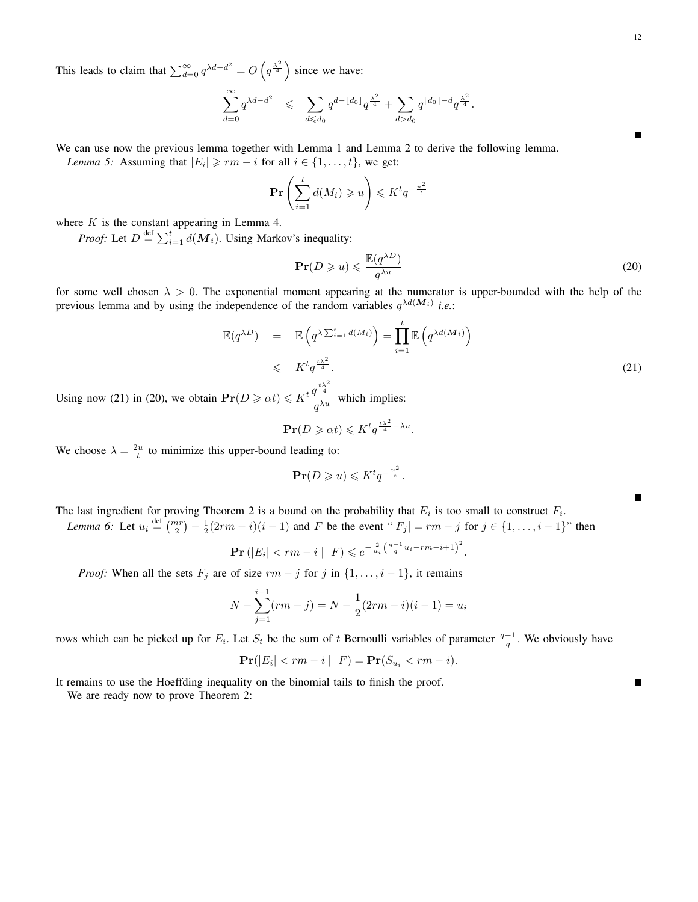П

П

Г

This leads to claim that  $\sum_{d=0}^{\infty} q^{\lambda d - d^2} = O\left(q^{\frac{\lambda^2}{4}}\right)$  since we have:

$$
\sum_{d=0}^{\infty} q^{\lambda d - d^2} \leq \sum_{d \leq d_0} q^{d - \lfloor d_0 \rfloor} q^{\frac{\lambda^2}{4}} + \sum_{d > d_0} q^{\lceil d_0 \rceil - d} q^{\frac{\lambda^2}{4}}.
$$

We can use now the previous lemma together with Lemma 1 and Lemma 2 to derive the following lemma.

*Lemma 5:* Assuming that  $|E_i| \geqslant rm - i$  for all  $i \in \{1, ..., t\}$ , we get:

$$
\Pr\left(\sum_{i=1}^t d(M_i) \geqslant u\right) \leqslant K^t q^{-\frac{u^2}{t}}
$$

where  $K$  is the constant appearing in Lemma 4.

*Proof:* Let  $D \stackrel{\text{def}}{=} \sum_{i=1}^{t} d(M_i)$ . Using Markov's inequality:

$$
\mathbf{Pr}(D \geq u) \leq \frac{\mathbb{E}(q^{\lambda D})}{q^{\lambda u}} \tag{20}
$$

for some well chosen  $\lambda > 0$ . The exponential moment appearing at the numerator is upper-bounded with the help of the previous lemma and by using the independence of the random variables  $q^{\lambda d(M_i)}$  *i.e.*:

$$
\mathbb{E}(q^{\lambda D}) = \mathbb{E}\left(q^{\lambda \sum_{i=1}^{t} d(M_i)}\right) = \prod_{i=1}^{t} \mathbb{E}\left(q^{\lambda d(M_i)}\right)
$$
\n
$$
\leqslant K^t q^{\frac{t\lambda^2}{4}}.
$$
\n(21)

Using now (21) in (20), we obtain  $\mathbf{Pr}(D \ge \alpha t) \le K^t \frac{q^{\frac{t\lambda^2}{4}}}{{\lambda \alpha}}$  $\frac{d}{q^{\lambda u}}$  which implies:

$$
\mathbf{Pr}(D \ge \alpha t) \le K^t q^{\frac{t\lambda^2}{4} - \lambda u}.
$$

We choose  $\lambda = \frac{2u}{t}$  to minimize this upper-bound leading to:

$$
\mathbf{Pr}(D \geq u) \leqslant K^t q^{-\frac{u^2}{t}}.
$$

|  |  |  | The last ingredient for proving Theorem 2 is a bound on the probability that $E_i$ is too small to construct $F_i$ . |  |  |  |  |  |  |
|--|--|--|----------------------------------------------------------------------------------------------------------------------|--|--|--|--|--|--|
|--|--|--|----------------------------------------------------------------------------------------------------------------------|--|--|--|--|--|--|

*Lemma 6*: Let  $u_i \stackrel{\text{def}}{=} \binom{mr}{2} - \frac{1}{2}(2rm - i)(i - 1)$  and F be the event " $|F_j| = rm - j$  for  $j \in \{1, ..., i - 1\}$ " then

$$
\Pr(|E_i| < rm - i \mid F) \leq e^{-\frac{2}{u_i} \left(\frac{q-1}{q} u_i - rm - i + 1\right)^2}.
$$

*Proof:* When all the sets  $F_j$  are of size  $rm - j$  for j in  $\{1, \ldots, i - 1\}$ , it remains

$$
N - \sum_{j=1}^{i-1} (rm - j) = N - \frac{1}{2} (2rm - i)(i - 1) = u_i
$$

rows which can be picked up for  $E_i$ . Let  $S_t$  be the sum of t Bernoulli variables of parameter  $\frac{q-1}{q}$ . We obviously have

$$
\mathbf{Pr}(|E_i| < rm - i \mid F) = \mathbf{Pr}(S_{u_i} < rm - i).
$$

It remains to use the Hoeffding inequality on the binomial tails to finish the proof.

We are ready now to prove Theorem 2: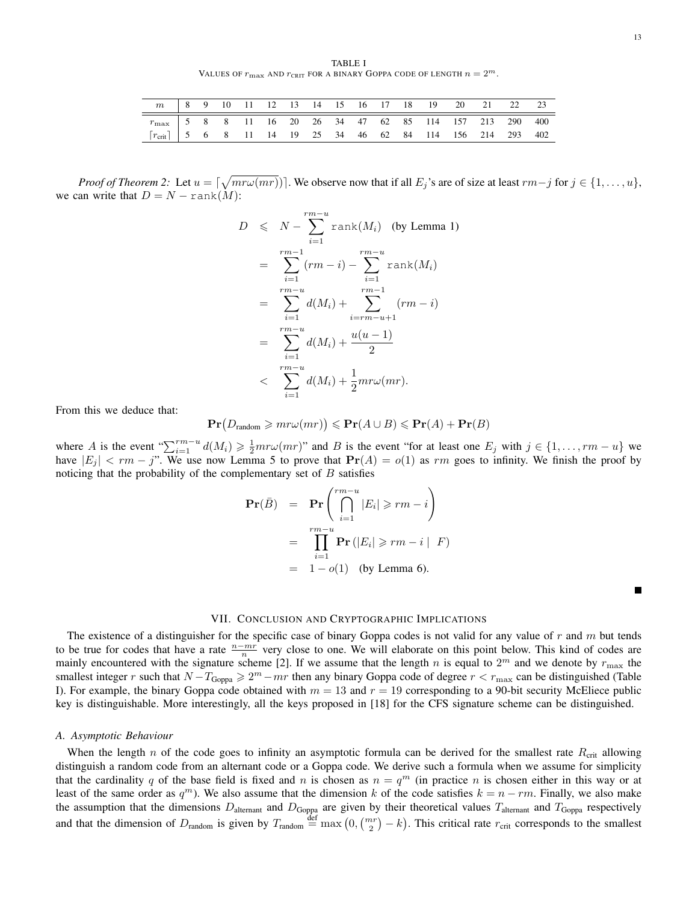TABLE I VALUES OF  $r_{\text{max}}$  AND  $r_{\text{CRIT}}$  FOR A BINARY GOPPA CODE OF LENGTH  $n = 2^m$ .

| m                                                                                   |  |  |  |  |  | 8 9 10 11 12 13 14 15 16 17 18 19 | 20 21 | 22 |  |
|-------------------------------------------------------------------------------------|--|--|--|--|--|-----------------------------------|-------|----|--|
| r <sub>max</sub>   5 8 8 11 16 20 26 34 47 62 85 114 157 213 290 400                |  |  |  |  |  |                                   |       |    |  |
| $\lceil r_{\text{crit}} \rceil$   5 6 8 11 14 19 25 34 46 62 84 114 156 214 293 402 |  |  |  |  |  |                                   |       |    |  |

*Proof of Theorem 2:* Let  $u = \lceil \sqrt{mr\omega(mr)} \rceil$ . We observe now that if all  $E_j$ 's are of size at least  $rm-j$  for  $j \in \{1, \ldots, u\}$ , we can write that  $D = N - \text{rank}(M)$ :

$$
D \leq N - \sum_{i=1}^{rm-u} \text{rank}(M_i) \quad \text{(by Lemma 1)}
$$
\n
$$
= \sum_{i=1}^{rm-1} (rm - i) - \sum_{i=1}^{rm-u} \text{rank}(M_i)
$$
\n
$$
= \sum_{i=1}^{rm-u} d(M_i) + \sum_{i=rm-u+1}^{rm-1} (rm - i)
$$
\n
$$
= \sum_{i=1}^{rm-u} d(M_i) + \frac{u(u-1)}{2}
$$
\n
$$
< \sum_{i=1}^{rm-u} d(M_i) + \frac{1}{2} mr\omega(mr).
$$

From this we deduce that:

$$
\mathbf{Pr}(D_{\text{random}} \geq m r \omega(mr)) \leqslant \mathbf{Pr}(A \cup B) \leqslant \mathbf{Pr}(A) + \mathbf{Pr}(B)
$$

where A is the event " $\sum_{i=1}^{rm-u} d(M_i) \geq \frac{1}{2} mr\omega(mr)$ " and B is the event "for at least one  $E_j$  with  $j \in \{1, ..., rm-u\}$  we have  $|E_i| < rm - j$ ". We use now Lemma 5 to prove that  $Pr(A) = o(1)$  as rm goes to infinity. We finish the proof by noticing that the probability of the complementary set of  $B$  satisfies

$$
\begin{array}{rcl}\n\mathbf{Pr}(\bar{B}) & = & \mathbf{Pr}\left(\bigcap_{i=1}^{rm-u} |E_i| \geq r m - i\right) \\
& = & \prod_{i=1}^{rm-u} \mathbf{Pr}\left(|E_i| \geq r m - i \mid F\right) \\
& = & 1 - o(1) \quad \text{(by Lemma 6)}.\n\end{array}
$$

VII. CONCLUSION AND CRYPTOGRAPHIC IMPLICATIONS

The existence of a distinguisher for the specific case of binary Goppa codes is not valid for any value of r and m but tends to be true for codes that have a rate  $\frac{n-mr}{n}$  very close to one. We will elaborate on this point below. This kind of codes are mainly encountered with the signature scheme [2]. If we assume that the length n is equal to  $2^m$  and we denote by  $r_{\text{max}}$  the smallest integer r such that  $N - T_{Goppa} \geq 2^m - mr$  then any binary Goppa code of degree  $r < r_{\text{max}}$  can be distinguished (Table I). For example, the binary Goppa code obtained with  $m = 13$  and  $r = 19$  corresponding to a 90-bit security McEliece public key is distinguishable. More interestingly, all the keys proposed in [18] for the CFS signature scheme can be distinguished.

#### *A. Asymptotic Behaviour*

When the length n of the code goes to infinity an asymptotic formula can be derived for the smallest rate  $R_{\text{crit}}$  allowing distinguish a random code from an alternant code or a Goppa code. We derive such a formula when we assume for simplicity that the cardinality q of the base field is fixed and n is chosen as  $n = q^m$  (in practice n is chosen either in this way or at least of the same order as  $q^m$ ). We also assume that the dimension k of the code satisfies  $k = n - rm$ . Finally, we also make the assumption that the dimensions  $D_{\text{alternant}}$  and  $D_{\text{Goppa}}$  are given by their theoretical values  $T_{\text{alternant}}$  and  $T_{\text{Goppa}}$  respectively and that the dimension of  $D_{\text{random}}$  is given by  $T_{\text{random}} \stackrel{\text{def}}{=} \max(0, \binom{mr}{2} - k)$ . This critical rate  $r_{\text{crit}}$  corresponds to the smallest

П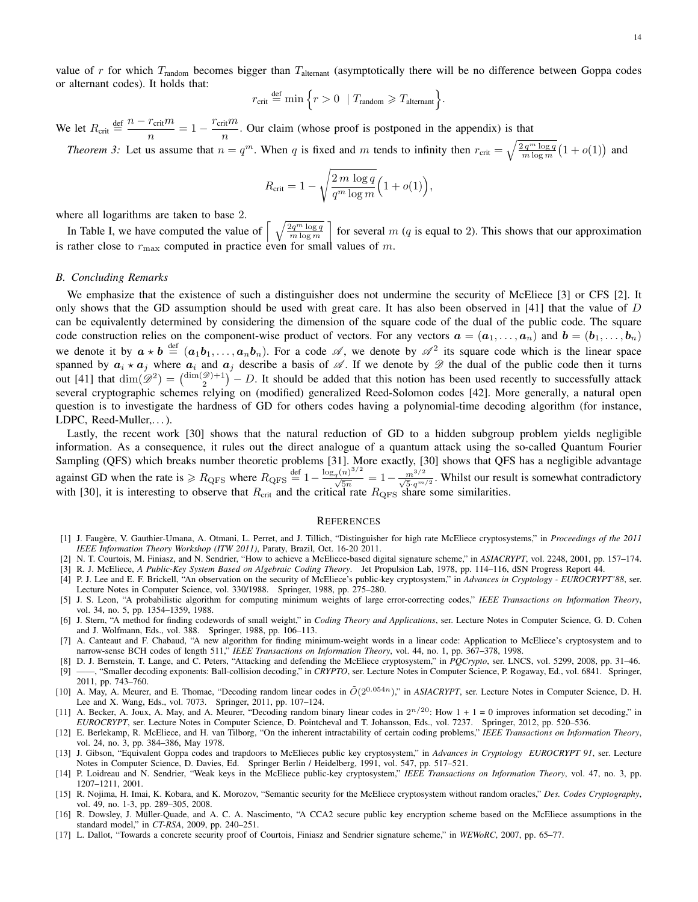value of r for which  $T_{\text{random}}$  becomes bigger than  $T_{\text{alternant}}$  (asymptotically there will be no difference between Goppa codes or alternant codes). It holds that:

$$
r_{\text{crit}} \stackrel{\text{def}}{=} \min \left\{ r > 0 \mid T_{\text{random}} \geq T_{\text{alternant}} \right\}.
$$

We let  $R_{\text{crit}} \stackrel{\text{def}}{=} \frac{n - r_{\text{crit}}m}{r}$  $\frac{r_{\text{crit}}m}{n} = 1 - \frac{r_{\text{crit}}m}{n}$  $\frac{n^{1/2}}{n}$ . Our claim (whose proof is postponed in the appendix) is that

*Theorem 3:* Let us assume that  $n = q^m$ . When q is fixed and m tends to infinity then  $r_{\text{crit}} = \sqrt{\frac{2 q^m \log q}{m \log m}} (1 + o(1))$  and

$$
R_{\rm crit} = 1 - \sqrt{\frac{2 \, m \, \log q}{q^m \log m}} \Big( 1 + o(1) \Big),
$$

where all logarithms are taken to base 2.

In Table I, we have computed the value of  $\left[\sqrt{\frac{2q^m \log q}{m \log m}}\right]$  for several m (q is equal to 2). This shows that our approximation is rather close to  $r_{\text{max}}$  computed in practice even for small values of m.

#### *B. Concluding Remarks*

We emphasize that the existence of such a distinguisher does not undermine the security of McEliece [3] or CFS [2]. It only shows that the GD assumption should be used with great care. It has also been observed in [41] that the value of  $D$ can be equivalently determined by considering the dimension of the square code of the dual of the public code. The square code construction relies on the component-wise product of vectors. For any vectors  $a = (a_1, \ldots, a_n)$  and  $b = (b_1, \ldots, b_n)$ we denote it by  $a \star b \stackrel{\text{def}}{=} (a_1b_1,\ldots,a_nb_n)$ . For a code  $\mathscr A$ , we denote by  $\mathscr A^2$  its square code which is the linear space spanned by  $a_i \star a_j$  where  $a_i$  and  $a_j$  describe a basis of  $\mathscr A$ . If we denote by  $\mathscr D$  the dual of the public code then it turns out [41] that  $\dim(\mathscr{D}^2) = {\dim(\mathscr{D})+1 \choose 2} - D$ . It should be added that this notion has been used recently to successfully attack several cryptographic schemes relying on (modified) generalized Reed-Solomon codes [42]. More generally, a natural open question is to investigate the hardness of GD for others codes having a polynomial-time decoding algorithm (for instance, LDPC, Reed-Muller,. . . ).

Lastly, the recent work [30] shows that the natural reduction of GD to a hidden subgroup problem yields negligible information. As a consequence, it rules out the direct analogue of a quantum attack using the so-called Quantum Fourier Sampling (QFS) which breaks number theoretic problems [31]. More exactly, [30] shows that QFS has a negligible advantage against GD when the rate is  $\geq R_{\text{QFS}}$  where  $R_{\text{QFS}} \stackrel{\text{def}}{=} 1 - \frac{\log_q(n)^{3/2}}{\sqrt{5n}} = 1 - \frac{m^{3/2}}{\sqrt{5} \cdot q^{m/2}}$ . Whilst our result is somewhat contradictory with [30], it is interesting to observe that  $R_{\text{crit}}$  and the critical rate  $R_{\text{QFS}}$  share some similarities.

#### **REFERENCES**

- [1] J. Faugere, V. Gauthier-Umana, A. Otmani, L. Perret, and J. Tillich, "Distinguisher for high rate McEliece cryptosystems," in ` *Proceedings of the 2011 IEEE Information Theory Workshop (ITW 2011)*, Paraty, Brazil, Oct. 16-20 2011.
- [2] N. T. Courtois, M. Finiasz, and N. Sendrier, "How to achieve a McEliece-based digital signature scheme," in *ASIACRYPT*, vol. 2248, 2001, pp. 157–174.
- [3] R. J. McEliece, *A Public-Key System Based on Algebraic Coding Theory*. Jet Propulsion Lab, 1978, pp. 114–116, dSN Progress Report 44.
- [4] P. J. Lee and E. F. Brickell, "An observation on the security of McEliece's public-key cryptosystem," in *Advances in Cryptology EUROCRYPT'88*, ser. Lecture Notes in Computer Science, vol. 330/1988. Springer, 1988, pp. 275–280.
- [5] J. S. Leon, "A probabilistic algorithm for computing minimum weights of large error-correcting codes," *IEEE Transactions on Information Theory*, vol. 34, no. 5, pp. 1354–1359, 1988.
- [6] J. Stern, "A method for finding codewords of small weight," in *Coding Theory and Applications*, ser. Lecture Notes in Computer Science, G. D. Cohen and J. Wolfmann, Eds., vol. 388. Springer, 1988, pp. 106–113.
- [7] A. Canteaut and F. Chabaud, "A new algorithm for finding minimum-weight words in a linear code: Application to McEliece's cryptosystem and to narrow-sense BCH codes of length 511," *IEEE Transactions on Information Theory*, vol. 44, no. 1, pp. 367–378, 1998.
- [8] D. J. Bernstein, T. Lange, and C. Peters, "Attacking and defending the McEliece cryptosystem," in *PQCrypto*, ser. LNCS, vol. 5299, 2008, pp. 31–46.
- [9] ——, "Smaller decoding exponents: Ball-collision decoding," in *CRYPTO*, ser. Lecture Notes in Computer Science, P. Rogaway, Ed., vol. 6841. Springer, 2011, pp. 743–760.
- [10] A. May, A. Meurer, and E. Thomae, "Decoding random linear codes in  $O(2^{0.054n})$ ," in *ASIACRYPT*, ser. Lecture Notes in Computer Science, D. H. Lee and X. Wang, Eds., vol. 7073. Springer, 2011, pp. 107–124.
- [11] A. Becker, A. Joux, A. May, and A. Meurer, "Decoding random binary linear codes in  $2^{n/20}$ : How  $1 + 1 = 0$  improves information set decoding," in *EUROCRYPT*, ser. Lecture Notes in Computer Science, D. Pointcheval and T. Johansson, Eds., vol. 7237. Springer, 2012, pp. 520–536.
- [12] E. Berlekamp, R. McEliece, and H. van Tilborg, "On the inherent intractability of certain coding problems," *IEEE Transactions on Information Theory*, vol. 24, no. 3, pp. 384–386, May 1978.
- [13] J. Gibson, "Equivalent Goppa codes and trapdoors to McElieces public key cryptosystem," in *Advances in Cryptology EUROCRYPT 91*, ser. Lecture Notes in Computer Science, D. Davies, Ed. Springer Berlin / Heidelberg, 1991, vol. 547, pp. 517–521.
- [14] P. Loidreau and N. Sendrier, "Weak keys in the McEliece public-key cryptosystem," *IEEE Transactions on Information Theory*, vol. 47, no. 3, pp. 1207–1211, 2001.
- [15] R. Nojima, H. Imai, K. Kobara, and K. Morozov, "Semantic security for the McEliece cryptosystem without random oracles," *Des. Codes Cryptography*, vol. 49, no. 1-3, pp. 289–305, 2008.
- [16] R. Dowsley, J. Müller-Quade, and A. C. A. Nascimento, "A CCA2 secure public key encryption scheme based on the McEliece assumptions in the standard model," in *CT-RSA*, 2009, pp. 240–251.
- [17] L. Dallot, "Towards a concrete security proof of Courtois, Finiasz and Sendrier signature scheme," in *WEWoRC*, 2007, pp. 65–77.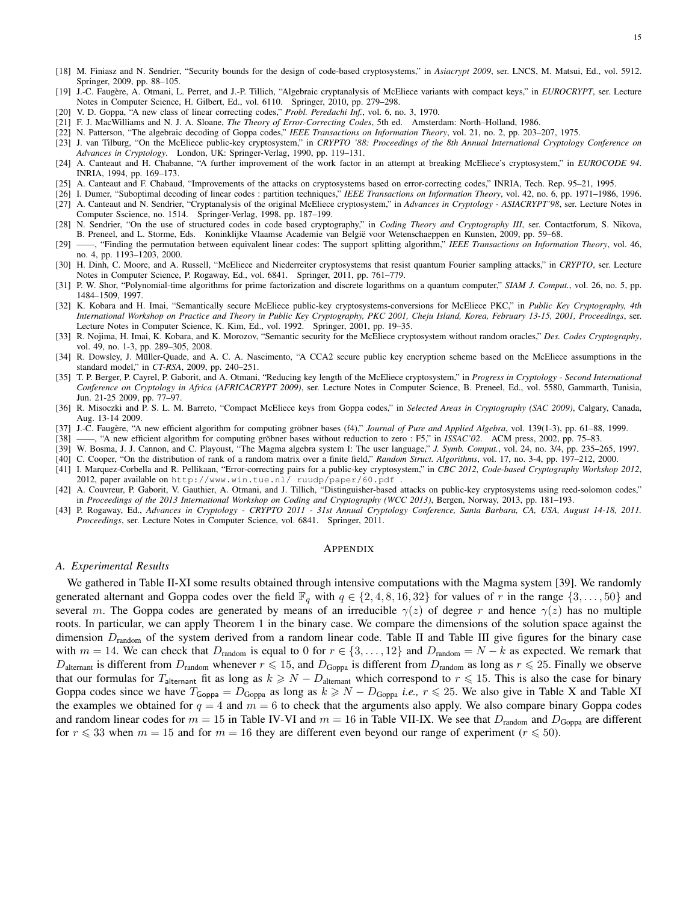- [18] M. Finiasz and N. Sendrier, "Security bounds for the design of code-based cryptosystems," in *Asiacrypt 2009*, ser. LNCS, M. Matsui, Ed., vol. 5912. Springer, 2009, pp. 88–105.
- [19] J.-C. Faugère, A. Otmani, L. Perret, and J.-P. Tillich, "Algebraic cryptanalysis of McEliece variants with compact keys," in *EUROCRYPT*, ser. Lecture Notes in Computer Science, H. Gilbert, Ed., vol. 6110. Springer, 2010, pp. 279–298.
- [20] V. D. Goppa, "A new class of linear correcting codes," *Probl. Peredachi Inf.*, vol. 6, no. 3, 1970.
- [21] F. J. MacWilliams and N. J. A. Sloane, *The Theory of Error-Correcting Codes*, 5th ed. Amsterdam: North–Holland, 1986.
- [22] N. Patterson, "The algebraic decoding of Goppa codes," *IEEE Transactions on Information Theory*, vol. 21, no. 2, pp. 203–207, 1975.
- [23] J. van Tilburg, "On the McEliece public-key cryptosystem," in *CRYPTO '88: Proceedings of the 8th Annual International Cryptology Conference on Advances in Cryptology*. London, UK: Springer-Verlag, 1990, pp. 119–131.
- [24] A. Canteaut and H. Chabanne, "A further improvement of the work factor in an attempt at breaking McEliece's cryptosystem," in *EUROCODE 94*. INRIA, 1994, pp. 169–173.
- [25] A. Canteaut and F. Chabaud, "Improvements of the attacks on cryptosystems based on error-correcting codes," INRIA, Tech. Rep. 95–21, 1995.
- [26] I. Dumer, "Suboptimal decoding of linear codes : partition techniques," *IEEE Transactions on Information Theory*, vol. 42, no. 6, pp. 1971–1986, 1996.
- [27] A. Canteaut and N. Sendrier, "Cryptanalysis of the original McEliece cryptosystem," in *Advances in Cryptology ASIACRYPT'98*, ser. Lecture Notes in Computer Sscience, no. 1514. Springer-Verlag, 1998, pp. 187–199.
- [28] N. Sendrier, "On the use of structured codes in code based cryptography," in *Coding Theory and Cryptography III*, ser. Contactforum, S. Nikova, B. Preneel, and L. Storme, Eds. Koninklijke Vlaamse Academie van Belgie voor Wetenschaeppen en Kunsten, 2009, pp. 59–68. ¨
- [29] ——, "Finding the permutation between equivalent linear codes: The support splitting algorithm," *IEEE Transactions on Information Theory*, vol. 46, no. 4, pp. 1193–1203, 2000.
- [30] H. Dinh, C. Moore, and A. Russell, "McEliece and Niederreiter cryptosystems that resist quantum Fourier sampling attacks," in *CRYPTO*, ser. Lecture Notes in Computer Science, P. Rogaway, Ed., vol. 6841. Springer, 2011, pp. 761–779.
- [31] P. W. Shor, "Polynomial-time algorithms for prime factorization and discrete logarithms on a quantum computer," *SIAM J. Comput.*, vol. 26, no. 5, pp. 1484–1509, 1997.
- [32] K. Kobara and H. Imai, "Semantically secure McEliece public-key cryptosystems-conversions for McEliece PKC," in *Public Key Cryptography, 4th International Workshop on Practice and Theory in Public Key Cryptography, PKC 2001, Cheju Island, Korea, February 13-15, 2001, Proceedings*, ser. Lecture Notes in Computer Science, K. Kim, Ed., vol. 1992. Springer, 2001, pp. 19–35.
- [33] R. Nojima, H. Imai, K. Kobara, and K. Morozov, "Semantic security for the McEliece cryptosystem without random oracles," *Des. Codes Cryptography*, vol. 49, no. 1-3, pp. 289–305, 2008.
- [34] R. Dowsley, J. Müller-Quade, and A. C. A. Nascimento, "A CCA2 secure public key encryption scheme based on the McEliece assumptions in the standard model," in *CT-RSA*, 2009, pp. 240–251.
- [35] T. P. Berger, P. Cayrel, P. Gaborit, and A. Otmani, "Reducing key length of the McEliece cryptosystem," in *Progress in Cryptology Second International Conference on Cryptology in Africa (AFRICACRYPT 2009)*, ser. Lecture Notes in Computer Science, B. Preneel, Ed., vol. 5580, Gammarth, Tunisia, Jun. 21-25 2009, pp. 77–97.
- [36] R. Misoczki and P. S. L. M. Barreto, "Compact McEliece keys from Goppa codes," in *Selected Areas in Cryptography (SAC 2009)*, Calgary, Canada, Aug. 13-14 2009.
- [37] J.-C. Faugère, "A new efficient algorithm for computing gröbner bases (f4)," *Journal of Pure and Applied Algebra*, vol. 139(1-3), pp. 61-88, 1999.
- [38] ——, "A new efficient algorithm for computing gröbner bases without reduction to zero : F5," in *ISSAC'02*. ACM press, 2002, pp. 75–83.
- [39] W. Bosma, J. J. Cannon, and C. Playoust, "The Magma algebra system I: The user language," *J. Symb. Comput.*, vol. 24, no. 3/4, pp. 235–265, 1997.
- [40] C. Cooper, "On the distribution of rank of a random matrix over a finite field," *Random Struct. Algorithms*, vol. 17, no. 3-4, pp. 197–212, 2000.
- [41] I. Marquez-Corbella and R. Pellikaan, "Error-correcting pairs for a public-key cryptosystem," in *CBC 2012, Code-based Cryptography Workshop 2012*, 2012, paper available on http://www.win.tue.nl/ ruudp/paper/60.pdf
- [42] A. Couvreur, P. Gaborit, V. Gauthier, A. Otmani, and J. Tillich, "Distinguisher-based attacks on public-key cryptosystems using reed-solomon codes," in *Proceedings of the 2013 International Workshop on Coding and Cryptography (WCC 2013)*, Bergen, Norway, 2013, pp. 181–193.
- [43] P. Rogaway, Ed., *Advances in Cryptology CRYPTO 2011 31st Annual Cryptology Conference, Santa Barbara, CA, USA, August 14-18, 2011. Proceedings*, ser. Lecture Notes in Computer Science, vol. 6841. Springer, 2011.

#### APPENDIX

#### *A. Experimental Results*

We gathered in Table II-XI some results obtained through intensive computations with the Magma system [39]. We randomly generated alternant and Goppa codes over the field  $\mathbb{F}_q$  with  $q \in \{2, 4, 8, 16, 32\}$  for values of r in the range  $\{3, \ldots, 50\}$  and several m. The Goppa codes are generated by means of an irreducible  $\gamma(z)$  of degree r and hence  $\gamma(z)$  has no multiple roots. In particular, we can apply Theorem 1 in the binary case. We compare the dimensions of the solution space against the dimension  $D_{\text{random}}$  of the system derived from a random linear code. Table II and Table III give figures for the binary case with  $m = 14$ . We can check that  $D_{\text{random}}$  is equal to 0 for  $r \in \{3, \ldots, 12\}$  and  $D_{\text{random}} = N - k$  as expected. We remark that  $D_{\text{alternant}}$  is different from  $D_{\text{random}}$  whenever  $r \leq 15$ , and  $D_{\text{Goppa}}$  is different from  $D_{\text{random}}$  as long as  $r \leq 25$ . Finally we observe that our formulas for  $T_{\text{alternant}}$  fit as long as  $k \geq N - D_{\text{alternant}}$  which correspond to  $r \leq 15$ . This is also the case for binary Goppa codes since we have  $T_{\text{Goppa}} = D_{\text{Goppa}}$  as long as  $k \ge N - D_{\text{Goppa}}$  *i.e.*,  $r \le 25$ . We also give in Table X and Table XI the examples we obtained for  $q = 4$  and  $m = 6$  to check that the arguments also apply. We also compare binary Goppa codes and random linear codes for  $m = 15$  in Table IV-VI and  $m = 16$  in Table VII-IX. We see that  $D_{\text{random}}$  and  $D_{\text{Goppa}}$  are different for  $r \le 33$  when  $m = 15$  and for  $m = 16$  they are different even beyond our range of experiment  $(r \le 50)$ .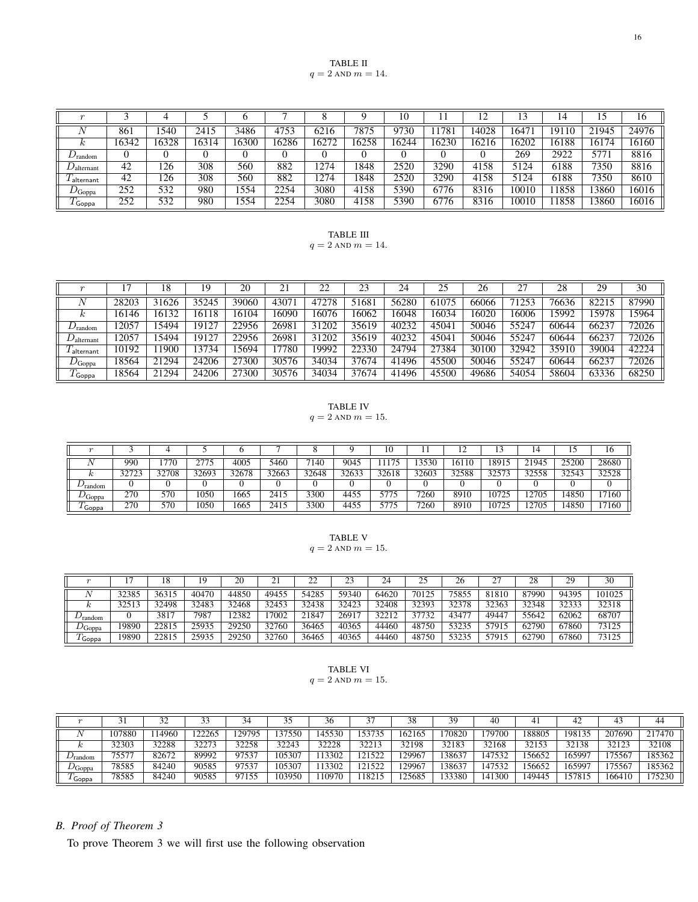| <b>TABLE II</b>        |  |
|------------------------|--|
| $q = 2$ AND $m = 14$ . |  |

| $\sim$                 |       |       |       |      |       |       |       | 10   |       | $1 \cap$<br>$\overline{1}$ |       | $\overline{a}$ |           | 16    |
|------------------------|-------|-------|-------|------|-------|-------|-------|------|-------|----------------------------|-------|----------------|-----------|-------|
|                        | 861   | '540  | 2415  | 3486 | 4753  | 6216  | 7875  | 9730 | 1781  | 14028                      | -64   | 19110          | 21945     | 24976 |
| $\sim$                 | 16342 | 16328 | 16314 | 6300 | 16286 | 16272 | 16258 | 6244 | 16230 | 16216                      | 16202 | 16188          | 74<br>161 | 16160 |
| $D_{\text{random}}$    |       |       |       |      |       |       |       |      |       |                            | 269   | 2922           | 577       | 8816  |
| $\nu$ alternant        | 42    | 126   | 308   | 560  | 882   | 1274  | 1848  | 2520 | 3290  | 4158                       | 5124  | 6188           | 7350      | 8816  |
| <sup>L</sup> alternant | 42    | 126   | 308   | 560  | 882   | 1274  | 1848  | 2520 | 3290  | 4158                       | 5124  | 6188           | 7350      | 8610  |
| $D_{\rm Goppa}$        | 252   | 532   | 980   | 1554 | 2254  | 3080  | 4158  | 5390 | 6776  | 8316                       | 10010 | 1858           | 3860      | 16016 |
| $T_{\mathsf{Goppa}}$   | 252   | 532   | 980   | 1554 | 2254  | 3080  | 4158  | 5390 | 6776  | 8316                       | 10010 | 1858           | 3860      | 16016 |

### TABLE III  $q = 2$  AND  $m = 14$ .

|                         |       | 18    | 19    | 20    |       | ∸     | ີ     | 24    | 25    | 26    | າາ    | 28    | 29    | 30    |
|-------------------------|-------|-------|-------|-------|-------|-------|-------|-------|-------|-------|-------|-------|-------|-------|
|                         | 28203 | 31626 | 35245 | 39060 | 4307  | 47278 | 1681  | 56280 | 61075 | 66066 | 71253 | 76636 | 822   | 87990 |
| r                       | 16146 | 16132 | 16118 | 16104 | 16090 | 16076 | 16062 | 6048  | 16034 | 16020 | 16006 | 15992 | 15978 | 15964 |
| $\nu$ random            | 2057  | 5494  | 19127 | 22956 | 26981 | 31202 | 35619 | 40232 | 45041 | 50046 | 55247 | 60644 | 66237 | 72026 |
| D <sub>alternant</sub>  | 2057  | 5494  | 19127 | 22956 | 26981 | 31202 | 35619 | 40232 | 45041 | 50046 | 55247 | 60644 | 66237 | 72026 |
| $\tau$<br>$1$ alternant | 10192 | 1900  | 13734 | 15694 | .7780 | 19992 | 22330 | 24794 | 27384 | 30100 | 32942 | 35910 | 39004 | 42224 |
| $D_{\text{Goppa}}$      | 18564 | 21294 | 24206 | 27300 | 30576 | 34034 | 37674 | 41496 | 45500 | 50046 | 55247 | 60644 | 66237 | 72026 |
| $T_{\mathsf{Goppa}}$    | 18564 | 21294 | 24206 | 27300 | 30576 | 34034 | 37674 | 41496 | 45500 | 49686 | 54054 | 58604 | 63336 | 68250 |

#### TABLE IV  $q = 2$  AND  $m = 15$ .

| m          |                |       |                          |       |       |       |       | $\overline{1}$ | . .   | $\overline{1}$ |       |               | . .   | 16    |
|------------|----------------|-------|--------------------------|-------|-------|-------|-------|----------------|-------|----------------|-------|---------------|-------|-------|
|            | 990            | 770   | $\overline{\phantom{a}}$ | 4005  | 5460  | 7140  | 9045  | 175            | 3530  | 16110          | 18915 | 21945         | 25200 | 28680 |
| к          | 32723<br>3212. | 32708 | 32693                    | 32678 | 32663 | 32648 | 32633 | 32618          | 32603 | 32588          | 32573 | 32558         | 32543 | 32528 |
| -random    |                |       |                          |       |       |       |       |                |       |                |       |               |       |       |
| 'Goppa     | 270            | 570   | 1050                     | 1665  | 2415  | 3300  | 4455  | 5775           | 7260  | 8910           | 10725 | 12705         | 14850 | 17160 |
| ∽<br>Goppa | 270            | 570   | 1050                     | 1665  | 2415  | 3300  | 4455  | 577            | 7260  | 8910           |       | 2705<br>$  +$ | 14850 | 17160 |

#### TABLE V  $q = 2$  and  $m = 15$ .

|                        |       | 18    | 0،    | 20    | -     | ΩΩ<br>-- | ີ<br>ل ک | 24    | <b>__</b>  | 26    | $\sim$ | 28                 | ንር<br>43 | 30    |
|------------------------|-------|-------|-------|-------|-------|----------|----------|-------|------------|-------|--------|--------------------|----------|-------|
|                        | 32385 | 36315 | 40470 | 44850 | 49455 | 54285    | 59340    | 64620 | 70125      | 75855 | 81810  | 87990              | 94395    | 01025 |
| к                      | 32513 | 32498 | 32483 | 32468 | 32453 | 32438    | 32423    | 32408 | 32393      | 32378 | 32363  | $32\overline{348}$ | 32333    | 32318 |
| $\nu$ random           |       | 3817  | 7987  | 2382  | 7002  | 21847    | 26917    | 32212 | 377<br>732 | 43477 | 49447  | 55642              | 62062    | 68707 |
| $\nu_{Goppa}$          | 19890 | 22815 | 25935 | 29250 | 32760 | 36465    | 40365    | 44460 | 48750      | 53235 | 579    | 62790              | 67860    | 73125 |
| $^{\mathcal{I}}$ Goppa | 9890  | 22815 | 25935 | 29250 | 32760 | 36465    | 40365    | 44460 | 48750      | 53235 | 579    | 62790              | 67860    | 73125 |

# TABLE VI  $q = 2$  AND  $m = 15$ .

|              |        | ے ر   | $\sim$ | 94    | ັ      | 36     | 37     | 38     | 39     | 40     |        |        | 45     | 44     |
|--------------|--------|-------|--------|-------|--------|--------|--------|--------|--------|--------|--------|--------|--------|--------|
|              | 107880 | 14960 | 22265  | 29795 | 137550 | 145530 | .53735 | 162165 | '70820 | 179700 | 188805 | 198135 | 207690 | 217470 |
|              | 32303  | 32288 | 32273  | 32258 | 32243  | 32228  | 32213  | 32198  | 32183  | 32168  | 32153  | 32138  | 32123  | 32108  |
| $\nu$ random | 75577  | 82672 | 89992  | 97537 | 105307 | 13302  | 21522  | .29967 | 38637  | 147532 | !56652 | 16599~ | 175567 | 185362 |
| $\nu$ Goppa  | 78585  | 84240 | 90585  | 97537 | 105307 | 13302  | 21522  | .29967 | 38637  | 147532 | !56652 | 165997 | 175567 | 185362 |
| Goppa        | 78585  | 84240 | 90585  | 97155 | 103950 | 10970  | 18215  | 25685  | 33380  | 141300 | 149445 | 15781  | 166410 | 175230 |

# *B. Proof of Theorem 3*

To prove Theorem 3 we will first use the following observation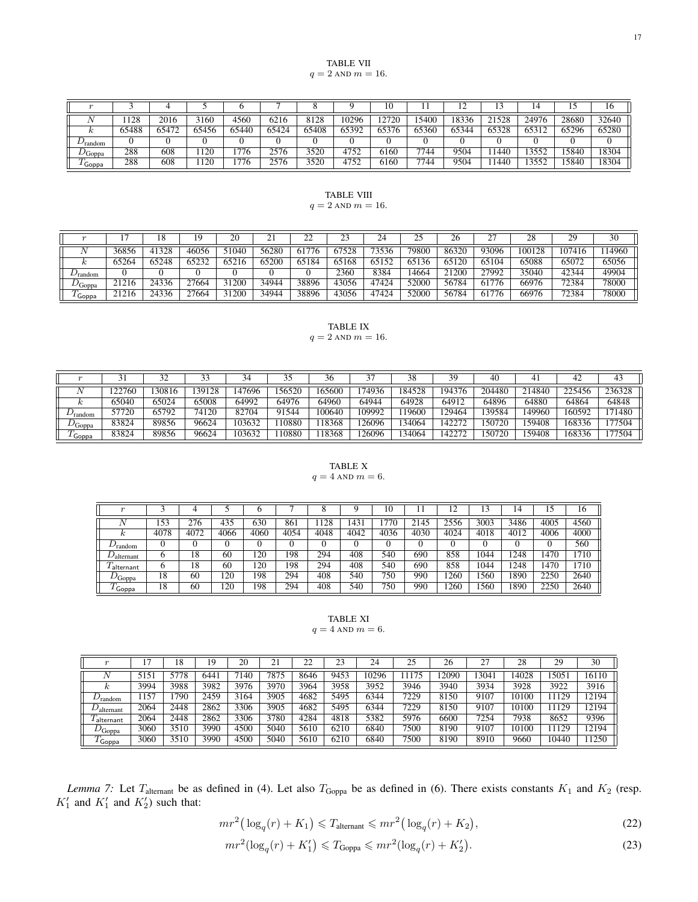#### TABLE VII  $q=2$  and  $m=16$ .

|                                   |       |      |             |                      |       |              |             | 1 V                | . .   | -     |       | $\overline{1}$             |       | 16    |
|-----------------------------------|-------|------|-------------|----------------------|-------|--------------|-------------|--------------------|-------|-------|-------|----------------------------|-------|-------|
|                                   | .128  | 2016 | 3160        | 4560                 | 6216  | 8128         | 10296       | ، 2720<br>ا که اسک | 5400  | 18336 | 21528 | 24976                      | 28680 | 32640 |
| $\sim$                            | 65488 | 6547 | 65456       | 65440                | 65424 | 65408        | 65392       | 5376د              | 65360 | 65344 | 65328 | $\sqrt{6531}$              | 65296 | 65280 |
| $\nu$ random                      |       |      |             |                      |       |              |             |                    |       |       |       |                            |       |       |
| $\nu$ Goppa                       | 288   | 608  | 120         | $\overline{a}$<br>76 | 2576  | 3520         | 4752        | 6160               | 7744  | 9504  | 440   | $355^{\circ}$<br>، بال ل د | 5840  | 18304 |
| $\overline{\phantom{0}}$<br>Goppa | 288   | 608  | 120<br>14 U | $\overline{a}$<br>76 | つぐつ   | 2521<br>32ZU | 175<br>1.02 | 6160               | 7744  | 9504  | 440   | いいしい                       | 5840  | 18304 |

# TABLE VIII  $q=2$  and  $m=16.$

|               |       |       |       | 20    | - 1   | ີ<br>∸ | ΩΩ<br>-- | 24    | ت     | 26    |       | 28     | 29     | 30    |
|---------------|-------|-------|-------|-------|-------|--------|----------|-------|-------|-------|-------|--------|--------|-------|
|               | 36856 | 41328 | 46056 | 51040 | 56280 | 61776  | 67528    | 73536 | 79800 | 86320 | 93096 | 100128 | 107416 | 14960 |
| $\sim$        | 65264 | 65248 | 65232 | 65216 | 65200 | 65184  | 65168    | 65152 | 65136 | 65120 | 65104 | 65088  | 65072  | 65056 |
| $\nu$ random  |       |       |       |       |       |        | 2360     | 8384  | 14664 | 21200 | 27992 | 35040  | 42344  | 49904 |
| $\nu_{Goppa}$ | 21216 | 24336 | 27664 | 31200 | 34944 | 38896  | 43056    | 47424 | 52000 | 56784 | 61776 | 66976  | 72384  | 78000 |
| Goppa         | 21216 | 24336 | 27664 | 31200 | 34944 | 38896  | 43056    | 47424 | 52000 | 56784 | 61776 | 66976  | 72384  | 78000 |

#### TABLE IX  $q=2$  and  $m=16$ .

|                      | ້     |       |        | 34     |       | 36    |        | 38     | 39<br>J .       | 40     | 4 <sub>1</sub> | 42     | 43     |
|----------------------|-------|-------|--------|--------|-------|-------|--------|--------|-----------------|--------|----------------|--------|--------|
|                      | 22760 | 30816 | 139128 | 147696 | 56520 | 65600 | 74936  | 184528 | 194376          | 204480 | 214840         | 225456 | 236328 |
|                      | 65040 | 65024 | 65008  | 64992  | 64976 | 64960 | 64944  | 64928  | 64912           | 64896  | 64880          | 64864  | 64848  |
| $\nu$ random         | 57720 | 65792 | 74120  | 82704  | 91544 | 00640 | 109992 | 19600  | 129464          | 39584  | 149960         | 160592 | 71480  |
| $\nu_{\text{Goppa}}$ | 83824 | 89856 | 96624  | 103632 | 10880 | 18368 | '26096 | 34064  | 142272          | 150720 | 159408         | 168336 | 77504  |
| $^{I}$ Goppa         | 83824 | 89856 | 96624  | 103632 | 10880 | 18368 | 126096 | 34064  | $14227^{\circ}$ | 150720 | 159408         | 168336 | 77504  |

#### TABLE X  $q = 4$  AND  $m = 6$ .

| $\sim$              |              |               |      |      | -    |      |      | 10   |             | ◠    | $\overline{\phantom{a}}$<br>້ | 14   |      | 16   |
|---------------------|--------------|---------------|------|------|------|------|------|------|-------------|------|-------------------------------|------|------|------|
|                     | -57<br>1 J J | 276           | 435  | 630  | 861  | 128  | 43   | 776  | າ 1<br>2145 | 2556 | 3003                          | 3486 | 4005 | 4560 |
| $\sim$              | 4078         | $407^\circ$   | 4066 | 4060 | 4054 | 4048 | 4042 | 4036 | 4030        | 4024 | 4018                          | 4012 | 4006 | 4000 |
| ∕random             |              |               |      |      |      |      |      |      |             |      |                               |      |      | 560  |
| alternant           |              | $\circ$<br>10 | 60   | 120  | 198  | 294  | 408  | 540  | 690         | 858  | 1044                          | .248 | 1470 | 1710 |
| alternant           |              | 18            | 60   | 20   | 198  | 294  | 408  | 540  | 690         | 858  | 1044                          | .248 | 1470 | 1710 |
| $\nu$ Goppa         | 18           | 60            | 20   | 198  | 294  | 408  | 540  | 750  | 990         | 260  | 560                           | 1890 | 2250 | 2640 |
| $\tau$<br>$I$ Goppa | 18           | 60            | 20   | 198  | 294  | 408  | 540  | 750  | 990         | 1260 | 560                           | 1890 | 2250 | 2640 |

TABLE XI  $q=4$  and  $m=6.$ 

| $\sim$                 |      | 18   | 19   | $\overline{2}$<br>∠∖ |      | $\sim$ |      | 24    | 25   | 26   | $\sim$ | 28    | 29    | 30    |
|------------------------|------|------|------|----------------------|------|--------|------|-------|------|------|--------|-------|-------|-------|
|                        |      | 5778 | 644. | 7140                 | 7875 | 8646   | 9453 | 10296 |      | 2090 | 304    | 14028 | 505   | 16110 |
| ĸ                      | 3994 | 3988 | 3982 | 3976                 | 3970 | 3964   | 3958 | 3952  | 3946 | 3940 | 3934   | 3928  | 3922  | 3916  |
| random                 | 1157 | 790  | 2459 | 3164                 | 3905 | 4682   | 5495 | 6344  | 7229 | 8150 | 9107   | 10100 | 1129  | 2194  |
| $D_{\text{alternant}}$ | 2064 | 2448 | 2862 | 3306                 | 3905 | 4682   | 5495 | 6344  | 7229 | 8150 | 9107   | 10100 | 1129  | 2194  |
| $1$ alternant          | 2064 | 2448 | 2862 | 3306                 | 3780 | 4284   | 4818 | 5382  | 5976 | 6600 | 7254   | 7938  | 8652  | 9396  |
| $\nu$ Goppa            | 3060 | 3510 | 3990 | 4500                 | 5040 | 5610   | 6210 | 6840  | 7500 | 8190 | 9107   | 10100 | 1129  | 2194  |
| $I_{\mathsf{Goppa}}$   | 3060 | 3510 | 3990 | 4500                 | 5040 | 5610   | 6210 | 6840  | 7500 | 8190 | 8910   | 9660  | 10440 | 1250  |

*Lemma 7:* Let  $T_{\text{alternant}}$  be as defined in (4). Let also  $T_{\text{Goppa}}$  be as defined in (6). There exists constants  $K_1$  and  $K_2$  (resp.  $K'_1$  and  $K'_2$  such that:

$$
mr^{2}\left(\log_{q}(r) + K_{1}\right) \leq T_{\text{alternant}} \leqslant mr^{2}\left(\log_{q}(r) + K_{2}\right),\tag{22}
$$

$$
mr^2(\log_q(r) + K_1') \le T_{\text{Goppa}} \le mr^2(\log_q(r) + K_2').\tag{23}
$$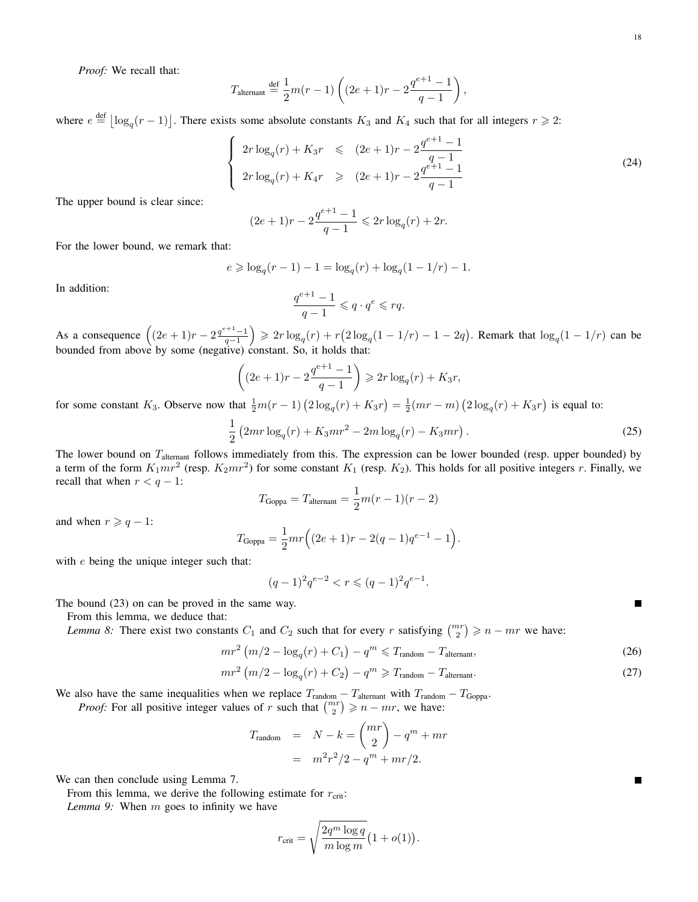*Proof:* We recall that:

$$
T_{\text{alternant}} \stackrel{\text{def}}{=} \frac{1}{2}m(r-1)\left((2e+1)r - 2\frac{q^{e+1}-1}{q-1}\right),
$$

where  $e \stackrel{\text{def}}{=} \lfloor \log_q(r-1) \rfloor$ . There exists some absolute constants  $K_3$  and  $K_4$  such that for all integers  $r \geqslant 2$ :

$$
\begin{cases}\n2r \log_q(r) + K_3r & \leq (2e+1)r - 2\frac{q^{e+1}-1}{q-1} \\
2r \log_q(r) + K_4r & \geq (2e+1)r - 2\frac{q^{e+1}-1}{q-1}\n\end{cases}\n\tag{24}
$$

The upper bound is clear since:

$$
(2e+1)r - 2\frac{q^{e+1} - 1}{q - 1} \leq 2r \log_q(r) + 2r.
$$

For the lower bound, we remark that:

$$
e \geq \log_q(r-1) - 1 = \log_q(r) + \log_q(1 - 1/r) - 1.
$$

In addition:

$$
\frac{q^{e+1}-1}{q-1} \leqslant q \cdot q^e \leqslant rq.
$$

As a consequence  $((2e+1)r - 2\frac{q^{e+1}-1}{q-1}) \geq 2r \log_q(r) + r(2\log_q(1-1/r) - 1-2q)$ . Remark that  $\log_q(1-1/r)$  can be bounded from above by some (negative) constant. So, it holds that:

$$
\left((2e+1)r - 2\frac{q^{e+1}-1}{q-1}\right) \geq 2r \log_q(r) + K_3 r,
$$

for some constant  $K_3$ . Observe now that  $\frac{1}{2}m(r-1)(2\log_q(r)+K_3r)=\frac{1}{2}(mr-m)(2\log_q(r)+K_3r)$  is equal to:

$$
\frac{1}{2} \left( 2mr \log_q(r) + K_3 mr^2 - 2m \log_q(r) - K_3 mr \right).
$$
 (25)

The lower bound on  $T_{\text{alternant}}$  follows immediately from this. The expression can be lower bounded (resp. upper bounded) by a term of the form  $K_1mr^2$  (resp.  $K_2mr^2$ ) for some constant  $K_1$  (resp.  $K_2$ ). This holds for all positive integers r. Finally, we recall that when  $r < q - 1$ :

$$
T_{\text{Goppa}} = T_{\text{alternant}} = \frac{1}{2}m(r-1)(r-2)
$$

and when  $r \geqslant q - 1$ :

$$
T_{\text{Goppa}} = \frac{1}{2} mr \Big( (2e+1)r - 2(q-1)q^{e-1} - 1 \Big).
$$

with  $e$  being the unique integer such that:

 $(q-1)^2 q^{e-2} < r \leqslant (q-1)^2 q^{e-1}.$ 

The bound (23) on can be proved in the same way.

From this lemma, we deduce that:

*Lemma 8:* There exist two constants  $C_1$  and  $C_2$  such that for every r satisfying  $\binom{mr}{2} \geq n - mr$  we have:

$$
mr^2 \left( m/2 - \log_q(r) + C_1 \right) - q^m \le T_{\text{random}} - T_{\text{alternant}},\tag{26}
$$

$$
mr^{2}\left(m/2-\log_{q}(r)+C_{2}\right)-q^{m}\geq T_{\text{random}}-T_{\text{alternant}}.\tag{27}
$$

We also have the same inequalities when we replace  $T_{\text{random}} - T_{\text{alternant}}$  with  $T_{\text{random}} - T_{\text{Goppa}}$ .

*Proof:* For all positive integer values of r such that  $\binom{mr}{2} \geqslant n - mr$ , we have:

$$
T_{\text{random}} = N - k = \binom{mr}{2} - q^m + mr
$$

$$
= m^2r^2/2 - q^m + mr/2.
$$

We can then conclude using Lemma 7.

From this lemma, we derive the following estimate for  $r_{\text{crit}}$ :

*Lemma 9:* When *m* goes to infinity we have

$$
r_{\rm crit} = \sqrt{\frac{2q^m \log q}{m \log m}} \Big(1 + o(1)\Big).
$$

Г

 $\blacksquare$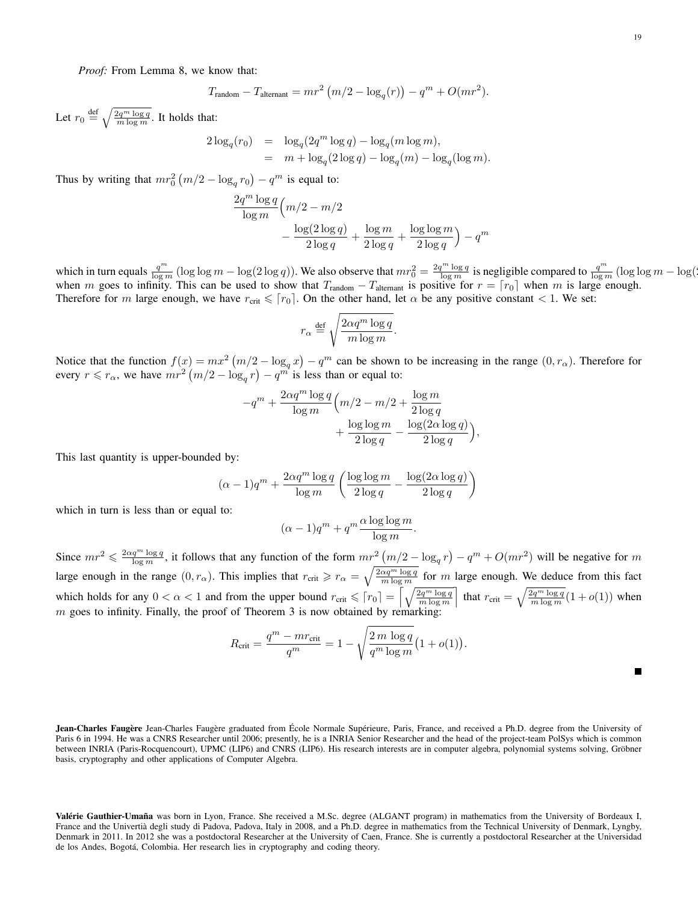*Proof:* From Lemma 8, we know that:

$$
T_{\text{random}} - T_{\text{alternant}} = mr^2 \left( m/2 - \log_q(r) \right) - q^m + O(mr^2).
$$

Let  $r_0 \stackrel{\text{def}}{=} \sqrt{\frac{2q^m \log q}{m \log m}}$ . It holds that:

$$
2\log_q(r_0) = \log_q(2q^m \log q) - \log_q(m \log m),
$$
  
=  $m + \log_q(2 \log q) - \log_q(m) - \log_q(\log m).$ 

Thus by writing that  $mr_0^2(m/2 - \log_q r_0) - q^m$  is equal to:

$$
\frac{2q^m \log q}{\log m} \left( \frac{m}{2} - \frac{m}{2} \right)
$$

$$
- \frac{\log(2 \log q)}{2 \log q} + \frac{\log m}{2 \log q} + \frac{\log \log m}{2 \log q} - q^m
$$

which in turn equals  $\frac{q^m}{\log m}$  (log log  $m - \log(2 \log q)$ ). We also observe that  $mr_0^2 = \frac{2q^m \log q}{\log m}$  is negligible compared to  $\frac{q^m}{\log m}$  (log log  $m - \log(q)$ ) when m goes to infinity. This can be used to show that  $T_{\text{random}} - T_{\text{alternant}}$  is positive for  $r = [r_0]$  when m is large enough. Therefore for m large enough, we have  $r_{\text{crit}} \leqslant [r_0]$ . On the other hand, let  $\alpha$  be any positive constant  $\lt 1$ . We set:

$$
r_{\alpha} \stackrel{\text{def}}{=} \sqrt{\frac{2\alpha q^m \log q}{m \log m}}.
$$

Notice that the function  $f(x) = mx^2(m/2 - \log_q x) - q^m$  can be shown to be increasing in the range  $(0, r_\alpha)$ . Therefore for every  $r \le r_\alpha$ , we have  $mr^2(m/2 - \log_q r) - q^{m^2}$  is less than or equal to:

$$
-q^{m} + \frac{2\alpha q^{m} \log q}{\log m} \left( m/2 - m/2 + \frac{\log m}{2 \log q} + \frac{\log \log m}{2 \log q} - \frac{\log(2\alpha \log q)}{2 \log q} \right)
$$

This last quantity is upper-bounded by:

$$
(\alpha - 1)q^{m} + \frac{2\alpha q^{m} \log q}{\log m} \left( \frac{\log \log m}{2 \log q} - \frac{\log(2\alpha \log q)}{2 \log q} \right)
$$

which in turn is less than or equal to:

$$
(\alpha - 1)q^m + q^m \frac{\alpha \log \log m}{\log m}.
$$

Since  $mr^2 \leqslant \frac{2\alpha q^m \log q}{\log m}$ , it follows that any function of the form  $mr^2 (m/2 - \log_q r) - q^m + O(mr^2)$  will be negative for m large enough in the range  $(0, r_\alpha)$ . This implies that  $r_{\text{crit}} \geqslant r_\alpha = \sqrt{\frac{2\alpha q^m \log q}{m \log m}}$  for m large enough. We deduce from this fact which holds for any  $0 < \alpha < 1$  and from the upper bound  $r_{\text{crit}} \leqslant \lceil r_0 \rceil = \left\lceil \sqrt{\frac{2q^m \log q}{m \log m}} \right\rceil$  that  $r_{\text{crit}} = \sqrt{\frac{2q^m \log q}{m \log m}} (1 + o(1))$  when  $m$  goes to infinity. Finally, the proof of Theorem 3 is now obtained by remarking:

$$
R_{\rm crit} = \frac{q^m - mr_{\rm crit}}{q^m} = 1 - \sqrt{\frac{2m \log q}{q^m \log m}} \left(1 + o(1)\right).
$$

,

Jean-Charles Faugère Jean-Charles Faugère graduated from École Normale Supérieure, Paris, France, and received a Ph.D. degree from the University of Paris 6 in 1994. He was a CNRS Researcher until 2006; presently, he is a INRIA Senior Researcher and the head of the project-team PolSys which is common between INRIA (Paris-Rocquencourt), UPMC (LIP6) and CNRS (LIP6). His research interests are in computer algebra, polynomial systems solving, Gröbner basis, cryptography and other applications of Computer Algebra.

Valérie Gauthier-Umaña was born in Lyon, France. She received a M.Sc. degree (ALGANT program) in mathematics from the University of Bordeaux I, France and the Univertia degli study di Padova, Padova, Italy in 2008, and a Ph.D. degree in mathematics from the Technical University of Denmark, Lyngby, Denmark in 2011. In 2012 she was a postdoctoral Researcher at the University of Caen, France. She is currently a postdoctoral Researcher at the Universidad de los Andes, Bogotá, Colombia. Her research lies in cryptography and coding theory.